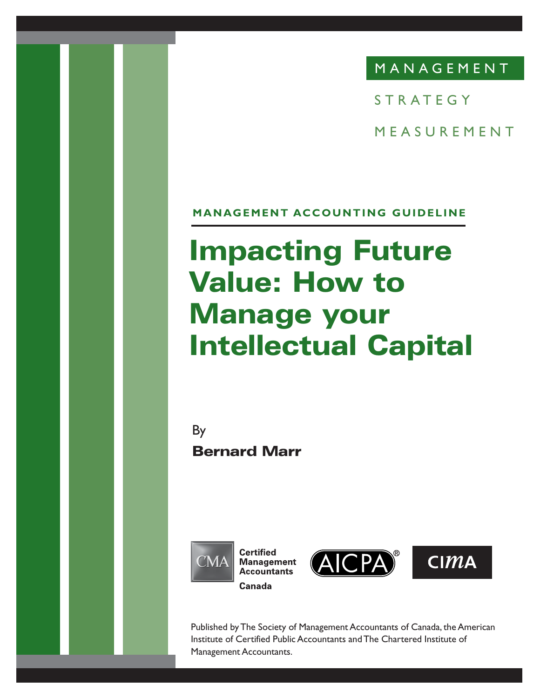**STRATEGY** 

MEASUREMENT

## **MANAGEMENT ACCOUNTING GUIDELINE**

# Impacting Future Value: How to Manage your Intellectual Capital

By Bernard Marr



**Certified Management Accountants** Canada





Published by The Society of Management Accountants of Canada, the American Institute of Certified Public Accountants and The Chartered Institute of Management Accountants.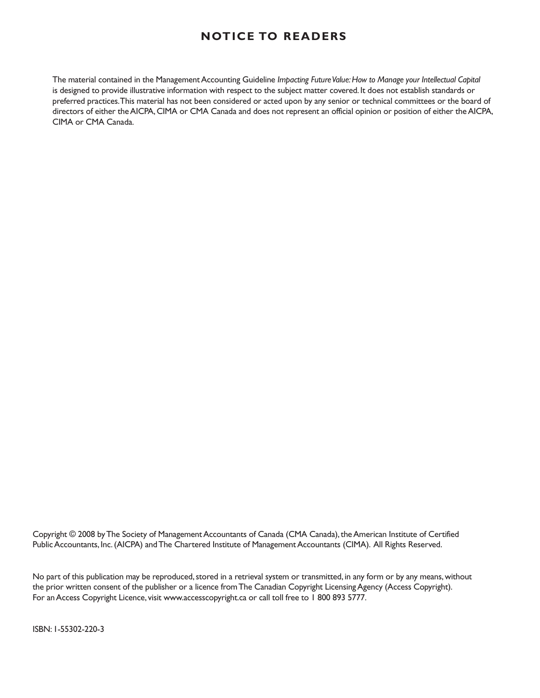## **NOTICE TO READERS**

The material contained in the Management Accounting Guideline *Impacting Future Value:How to Manage your Intellectual Capital*  is designed to provide illustrative information with respect to the subject matter covered. It does not establish standards or preferred practices.This material has not been considered or acted upon by any senior or technical committees or the board of directors of either the AICPA, CIMA or CMA Canada and does not represent an official opinion or position of either the AICPA, CIMA or CMA Canada.

Copyright © 2008 by The Society of Management Accountants of Canada (CMA Canada), the American Institute of Certified Public Accountants, Inc. (AICPA) and The Chartered Institute of Management Accountants (CIMA). All Rights Reserved.

No part of this publication may be reproduced, stored in a retrieval system or transmitted, in any form or by any means, without the prior written consent of the publisher or a licence from The Canadian Copyright Licensing Agency (Access Copyright). For an Access Copyright Licence, visit www.accesscopyright.ca or call toll free to 1 800 893 5777.

ISBN: 1-55302-220-3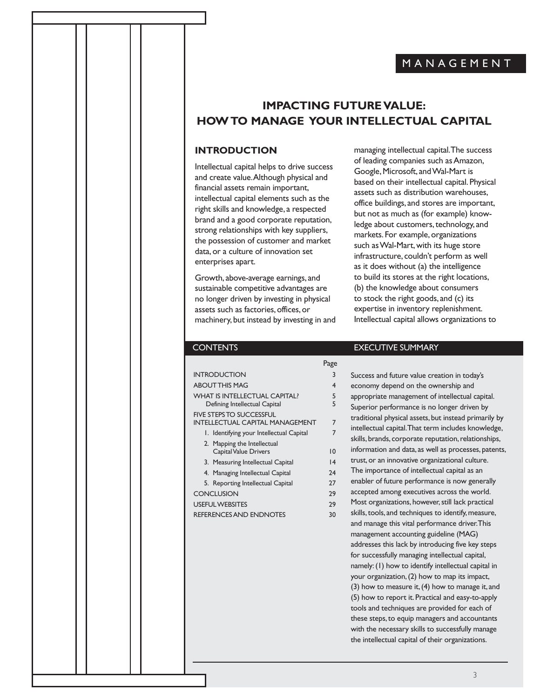## **IMPACTING FUTURE VALUE: HOW TO MANAGE YOUR INTELLECTUAL CAPITAL**

Page

## **INTRODUCTION**

Intellectual capital helps to drive success and create value.Although physical and financial assets remain important, intellectual capital elements such as the right skills and knowledge, a respected brand and a good corporate reputation, strong relationships with key suppliers, the possession of customer and market data, or a culture of innovation set enterprises apart.

Growth, above-average earnings, and sustainable competitive advantages are no longer driven by investing in physical assets such as factories, offices, or machinery, but instead by investing in and

managing intellectual capital.The success of leading companies such as Amazon, Google, Microsoft, and Wal-Mart is based on their intellectual capital. Physical assets such as distribution warehouses, office buildings, and stores are important, but not as much as (for example) knowledge about customers, technology, and markets. For example, organizations such as Wal-Mart, with its huge store infrastructure, couldn't perform as well as it does without (a) the intelligence to build its stores at the right locations, (b) the knowledge about consumers to stock the right goods, and (c) its expertise in inventory replenishment. Intellectual capital allows organizations to

| <b>INTRODUCTION</b>                                                       | 3              |
|---------------------------------------------------------------------------|----------------|
| <b>ABOUT THIS MAG</b>                                                     | $\overline{4}$ |
| <b>WHAT IS INTELLECTUAL CAPITAL?</b><br>Defining Intellectual Capital     | 5<br>5         |
| <b>FIVE STEPS TO SUCCESSFUL</b><br><b>INTELLECTUAL CAPITAL MANAGEMENT</b> | 7              |
| 1. Identifying your Intellectual Capital                                  | 7              |
| 2. Mapping the Intellectual<br><b>Capital Value Drivers</b>               | 10             |
| 3. Measuring Intellectual Capital                                         | 4              |
| 4. Managing Intellectual Capital                                          | 24             |
| 5. Reporting Intellectual Capital                                         | 27             |
| <b>CONCLUSION</b>                                                         | 29             |
| <b>USEFUL WEBSITES</b>                                                    | 29             |
| REFERENCES AND ENDNOTES                                                   | 30             |
|                                                                           |                |
|                                                                           |                |
|                                                                           |                |

## **CONTENTS EXECUTIVE SUMMARY**

Success and future value creation in today's economy depend on the ownership and appropriate management of intellectual capital. Superior performance is no longer driven by traditional physical assets, but instead primarily by intellectual capital.That term includes knowledge, skills, brands, corporate reputation, relationships, information and data, as well as processes, patents, trust, or an innovative organizational culture. The importance of intellectual capital as an enabler of future performance is now generally accepted among executives across the world. Most organizations, however, still lack practical skills, tools, and techniques to identify, measure, and manage this vital performance driver.This management accounting guideline (MAG) addresses this lack by introducing five key steps for successfully managing intellectual capital, namely: (1) how to identify intellectual capital in your organization, (2) how to map its impact, (3) how to measure it, (4) how to manage it, and (5) how to report it. Practical and easy-to-apply tools and techniques are provided for each of these steps, to equip managers and accountants with the necessary skills to successfully manage the intellectual capital of their organizations.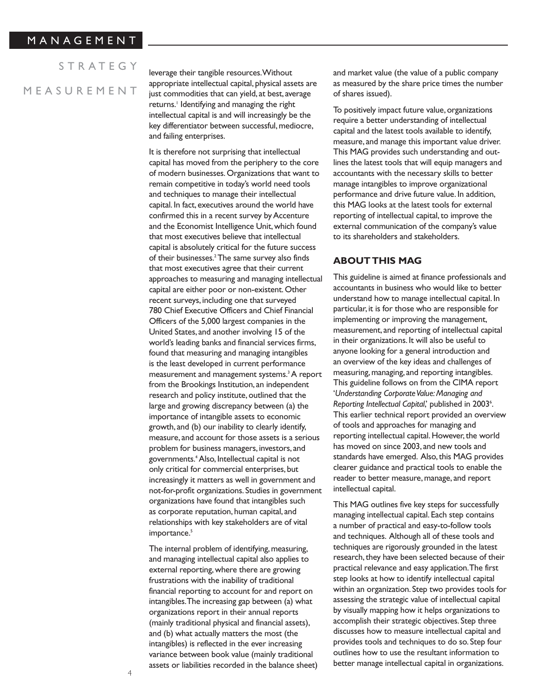## STRATEGY MEASUREMENT

leverage their tangible resources.Without appropriate intellectual capital, physical assets are just commodities that can yield, at best, average returns.<sup>1</sup> Identifying and managing the right intellectual capital is and will increasingly be the key differentiator between successful, mediocre, and failing enterprises.

It is therefore not surprising that intellectual capital has moved from the periphery to the core of modern businesses. Organizations that want to remain competitive in today's world need tools and techniques to manage their intellectual capital. In fact, executives around the world have confirmed this in a recent survey by Accenture and the Economist Intelligence Unit, which found that most executives believe that intellectual capital is absolutely critical for the future success of their businesses.<sup>2</sup> The same survey also finds that most executives agree that their current approaches to measuring and managing intellectual capital are either poor or non-existent. Other recent surveys, including one that surveyed 780 Chief Executive Officers and Chief Financial Officers of the 5,000 largest companies in the United States, and another involving 15 of the world's leading banks and financial services firms, found that measuring and managing intangibles is the least developed in current performance measurement and management systems.<sup>3</sup> A report from the Brookings Institution, an independent research and policy institute, outlined that the large and growing discrepancy between (a) the importance of intangible assets to economic growth, and (b) our inability to clearly identify, measure, and account for those assets is a serious problem for business managers, investors, and governments.4Also, Intellectual capital is not only critical for commercial enterprises, but increasingly it matters as well in government and not-for-profit organizations. Studies in government organizations have found that intangibles such as corporate reputation, human capital, and relationships with key stakeholders are of vital importance.<sup>5</sup>

The internal problem of identifying, measuring, and managing intellectual capital also applies to external reporting, where there are growing frustrations with the inability of traditional financial reporting to account for and report on intangibles.The increasing gap between (a) what organizations report in their annual reports (mainly traditional physical and financial assets), and (b) what actually matters the most (the intangibles) is reflected in the ever increasing variance between book value (mainly traditional assets or liabilities recorded in the balance sheet) and market value (the value of a public company as measured by the share price times the number of shares issued).

To positively impact future value, organizations require a better understanding of intellectual capital and the latest tools available to identify, measure, and manage this important value driver. This MAG provides such understanding and outlines the latest tools that will equip managers and accountants with the necessary skills to better manage intangibles to improve organizational performance and drive future value. In addition, this MAG looks at the latest tools for external reporting of intellectual capital, to improve the external communication of the company's value to its shareholders and stakeholders.

## **ABOUT THIS MAG**

This guideline is aimed at finance professionals and accountants in business who would like to better understand how to manage intellectual capital. In particular, it is for those who are responsible for implementing or improving the management, measurement, and reporting of intellectual capital in their organizations. It will also be useful to anyone looking for a general introduction and an overview of the key ideas and challenges of measuring, managing, and reporting intangibles. This guideline follows on from the CIMA report '*Understanding Corporate Value:Managing and* Reporting Intellectual Capital,' published in 2003<sup>6</sup>. This earlier technical report provided an overview of tools and approaches for managing and reporting intellectual capital. However, the world has moved on since 2003, and new tools and standards have emerged. Also, this MAG provides clearer guidance and practical tools to enable the reader to better measure, manage, and report intellectual capital.

This MAG outlines five key steps for successfully managing intellectual capital. Each step contains a number of practical and easy-to-follow tools and techniques. Although all of these tools and techniques are rigorously grounded in the latest research, they have been selected because of their practical relevance and easy application.The first step looks at how to identify intellectual capital within an organization. Step two provides tools for assessing the strategic value of intellectual capital by visually mapping how it helps organizations to accomplish their strategic objectives. Step three discusses how to measure intellectual capital and provides tools and techniques to do so. Step four outlines how to use the resultant information to better manage intellectual capital in organizations.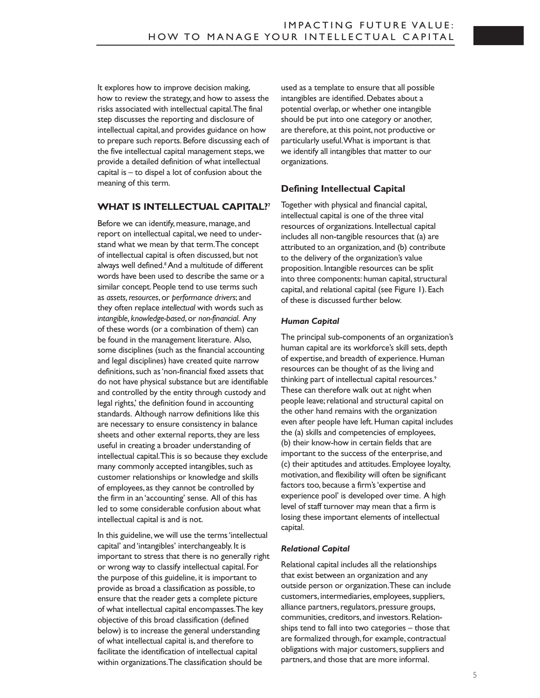It explores how to improve decision making, how to review the strategy, and how to assess the risks associated with intellectual capital.The final step discusses the reporting and disclosure of intellectual capital, and provides guidance on how to prepare such reports. Before discussing each of the five intellectual capital management steps, we provide a detailed definition of what intellectual capital is – to dispel a lot of confusion about the meaning of this term.

#### **WHAT IS INTELLECTUAL CAPITAL?7**

Before we can identify, measure, manage, and report on intellectual capital, we need to understand what we mean by that term.The concept of intellectual capital is often discussed, but not always well defined.<sup>8</sup> And a multitude of different words have been used to describe the same or a similar concept. People tend to use terms such as *assets,resources*, or *performance drivers*; and they often replace *intellectual* with words such as *intangible,knowledge-based*, or *non-financial*. Any of these words (or a combination of them) can be found in the management literature. Also, some disciplines (such as the financial accounting and legal disciplines) have created quite narrow definitions, such as 'non-financial fixed assets that do not have physical substance but are identifiable and controlled by the entity through custody and legal rights,' the definition found in accounting standards. Although narrow definitions like this are necessary to ensure consistency in balance sheets and other external reports, they are less useful in creating a broader understanding of intellectual capital.This is so because they exclude many commonly accepted intangibles, such as customer relationships or knowledge and skills of employees, as they cannot be controlled by the firm in an 'accounting' sense. All of this has led to some considerable confusion about what intellectual capital is and is not.

In this guideline, we will use the terms 'intellectual capital' and 'intangibles' interchangeably. It is important to stress that there is no generally right or wrong way to classify intellectual capital. For the purpose of this guideline, it is important to provide as broad a classification as possible, to ensure that the reader gets a complete picture of what intellectual capital encompasses.The key objective of this broad classification (defined below) is to increase the general understanding of what intellectual capital is, and therefore to facilitate the identification of intellectual capital within organizations.The classification should be

used as a template to ensure that all possible intangibles are identified. Debates about a potential overlap, or whether one intangible should be put into one category or another, are therefore, at this point, not productive or particularly useful.What is important is that we identify all intangibles that matter to our organizations.

## **Defining Intellectual Capital**

Together with physical and financial capital, intellectual capital is one of the three vital resources of organizations. Intellectual capital includes all non-tangible resources that (a) are attributed to an organization, and (b) contribute to the delivery of the organization's value proposition. Intangible resources can be split into three components: human capital, structural capital, and relational capital (see Figure 1). Each of these is discussed further below.

#### *Human Capital*

The principal sub-components of an organization's human capital are its workforce's skill sets, depth of expertise, and breadth of experience. Human resources can be thought of as the living and thinking part of intellectual capital resources.<sup>9</sup> These can therefore walk out at night when people leave; relational and structural capital on the other hand remains with the organization even after people have left. Human capital includes the (a) skills and competencies of employees, (b) their know-how in certain fields that are important to the success of the enterprise, and (c) their aptitudes and attitudes. Employee loyalty, motivation, and flexibility will often be significant factors too, because a firm's 'expertise and experience pool' is developed over time. A high level of staff turnover may mean that a firm is losing these important elements of intellectual capital.

#### *Relational Capital*

Relational capital includes all the relationships that exist between an organization and any outside person or organization.These can include customers, intermediaries, employees, suppliers, alliance partners, regulators, pressure groups, communities, creditors, and investors. Relationships tend to fall into two categories – those that are formalized through, for example, contractual obligations with major customers, suppliers and partners, and those that are more informal.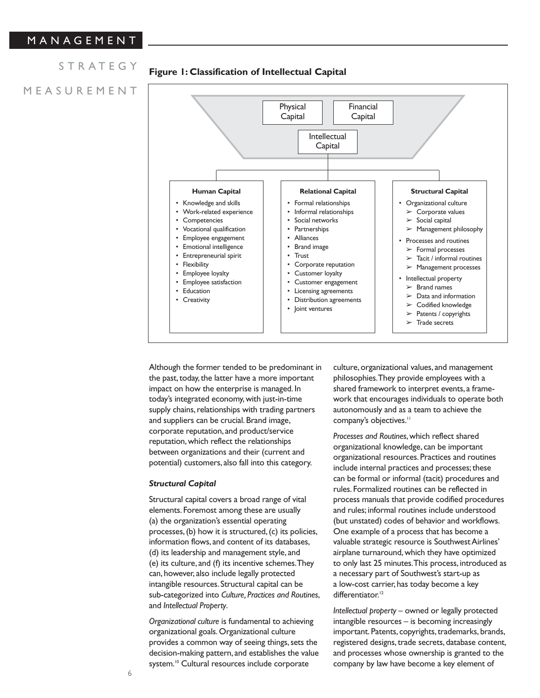STRATEGY

**Figure 1: Classification of Intellectual Capital**

MEASUREMENT



Although the former tended to be predominant in the past, today, the latter have a more important impact on how the enterprise is managed. In today's integrated economy, with just-in-time supply chains, relationships with trading partners and suppliers can be crucial. Brand image, corporate reputation, and product/service reputation, which reflect the relationships between organizations and their (current and potential) customers, also fall into this category.

#### *Structural Capital*

Structural capital covers a broad range of vital elements. Foremost among these are usually (a) the organization's essential operating processes, (b) how it is structured, (c) its policies, information flows, and content of its databases, (d) its leadership and management style, and (e) its culture, and (f) its incentive schemes.They can, however, also include legally protected intangible resources. Structural capital can be sub-categorized into *Culture,Practices and Routines*, and *Intellectual Property*.

*Organizational culture* is fundamental to achieving organizational goals. Organizational culture provides a common way of seeing things, sets the decision-making pattern, and establishes the value system.<sup>10</sup> Cultural resources include corporate

culture, organizational values, and management philosophies.They provide employees with a shared framework to interpret events, a framework that encourages individuals to operate both autonomously and as a team to achieve the company's objectives.<sup>11</sup>

*Processes and Routines*,which reflect shared organizational knowledge, can be important organizational resources. Practices and routines include internal practices and processes; these can be formal or informal (tacit) procedures and rules. Formalized routines can be reflected in process manuals that provide codified procedures and rules; informal routines include understood (but unstated) codes of behavior and workflows. One example of a process that has become a valuable strategic resource is Southwest Airlines' airplane turnaround, which they have optimized to only last 25 minutes.This process, introduced as a necessary part of Southwest's start-up as a low-cost carrier, has today become a key differentiator.<sup>12</sup>

*Intellectual property* – owned or legally protected intangible resources – is becoming increasingly important. Patents, copyrights, trademarks, brands, registered designs, trade secrets, database content, and processes whose ownership is granted to the company by law have become a key element of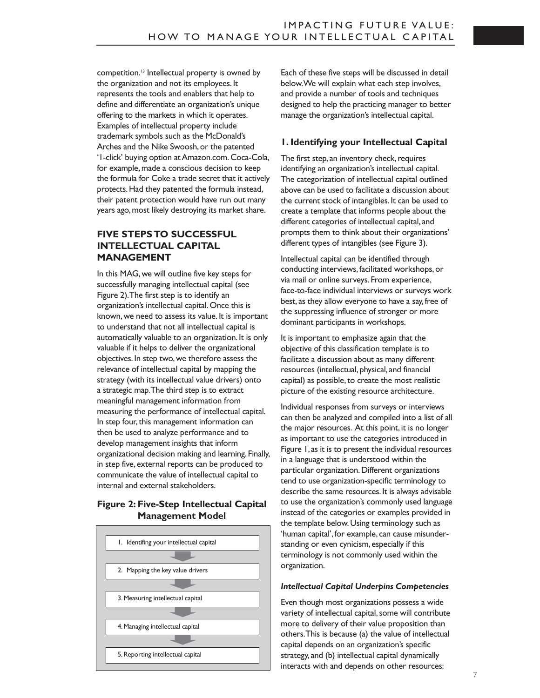competition.<sup>13</sup> Intellectual property is owned by the organization and not its employees. It represents the tools and enablers that help to define and differentiate an organization's unique offering to the markets in which it operates. Examples of intellectual property include trademark symbols such as the McDonald's Arches and the Nike Swoosh, or the patented '1-click' buying option at Amazon.com. Coca-Cola, for example, made a conscious decision to keep the formula for Coke a trade secret that it actively protects. Had they patented the formula instead, their patent protection would have run out many years ago, most likely destroying its market share.

## **FIVE STEPS TO SUCCESSFUL INTELLECTUAL CAPITAL MANAGEMENT**

In this MAG, we will outline five key steps for successfully managing intellectual capital (see Figure 2).The first step is to identify an organization's intellectual capital. Once this is known, we need to assess its value. It is important to understand that not all intellectual capital is automatically valuable to an organization. It is only valuable if it helps to deliver the organizational objectives. In step two, we therefore assess the relevance of intellectual capital by mapping the strategy (with its intellectual value drivers) onto a strategic map.The third step is to extract meaningful management information from measuring the performance of intellectual capital. In step four, this management information can then be used to analyze performance and to develop management insights that inform organizational decision making and learning. Finally, in step five, external reports can be produced to communicate the value of intellectual capital to internal and external stakeholders.

## **Figure 2: Five-Step Intellectual Capital Management Model**



Each of these five steps will be discussed in detail below.We will explain what each step involves, and provide a number of tools and techniques designed to help the practicing manager to better manage the organization's intellectual capital.

## **1. Identifying your Intellectual Capital**

The first step, an inventory check, requires identifying an organization's intellectual capital. The categorization of intellectual capital outlined above can be used to facilitate a discussion about the current stock of intangibles. It can be used to create a template that informs people about the different categories of intellectual capital, and prompts them to think about their organizations' different types of intangibles (see Figure 3).

Intellectual capital can be identified through conducting interviews, facilitated workshops, or via mail or online surveys. From experience, face-to-face individual interviews or surveys work best, as they allow everyone to have a say, free of the suppressing influence of stronger or more dominant participants in workshops.

It is important to emphasize again that the objective of this classification template is to facilitate a discussion about as many different resources (intellectual, physical, and financial capital) as possible, to create the most realistic picture of the existing resource architecture.

Individual responses from surveys or interviews can then be analyzed and compiled into a list of all the major resources. At this point, it is no longer as important to use the categories introduced in Figure 1,as it is to present the individual resources in a language that is understood within the particular organization. Different organizations tend to use organization-specific terminology to describe the same resources. It is always advisable to use the organization's commonly used language instead of the categories or examples provided in the template below. Using terminology such as 'human capital', for example, can cause misunderstanding or even cynicism, especially if this terminology is not commonly used within the organization.

#### *Intellectual Capital Underpins Competencies*

Even though most organizations possess a wide variety of intellectual capital, some will contribute more to delivery of their value proposition than others.This is because (a) the value of intellectual capital depends on an organization's specific strategy, and (b) intellectual capital dynamically interacts with and depends on other resources: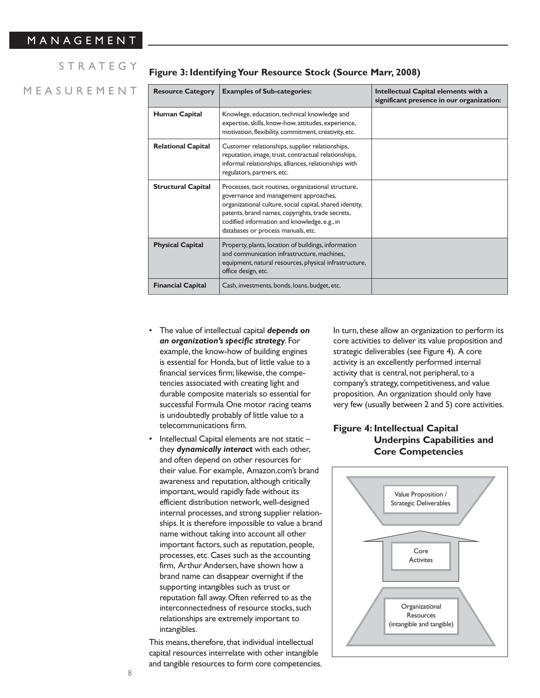## STRATEGY

## MEASUREMENT

## **Figure 3: Identifying Your Resource Stock (Source Marr, 2008)**

| <b>Resource Category</b>  | <b>Examples of Sub-categories:</b>                                                                                                                                                                                                                                                                  | Intellectual Capital elements with a<br>significant presence in our organization: |
|---------------------------|-----------------------------------------------------------------------------------------------------------------------------------------------------------------------------------------------------------------------------------------------------------------------------------------------------|-----------------------------------------------------------------------------------|
| Human Capital             | Knowlege, education, technical knowledge and<br>expertise, skills, know-how, attitudes, experience,<br>motivation, flexibility, commitment, creativity, etc.                                                                                                                                        |                                                                                   |
| <b>Relational Capital</b> | Customer relationships, supplier relationships,<br>reputation, image, trust, contractual relationships,<br>informal relationships, alliances, relationships with<br>regulators, partners, etc.                                                                                                      |                                                                                   |
| <b>Structural Capital</b> | Processes, tacit routines, organizational structure,<br>governance and management approaches,<br>organizational culture, social capital, shared identity,<br>patents, brand names, copyrights, trade secrets,<br>codified information and knowledge, e.g., in<br>databases or process manuals, etc. |                                                                                   |
| <b>Physical Capital</b>   | Property, plants, location of buildings, information<br>and communication infrastructure, machines,<br>equipment, natural resources, physical infrastructure,<br>office design, etc.                                                                                                                |                                                                                   |
| <b>Financial Capital</b>  | Cash, investments, bonds, loans, budget, etc.                                                                                                                                                                                                                                                       |                                                                                   |

- The value of intellectual capital *depends on an organization's specific strategy*. For example, the know-how of building engines is essential for Honda, but of little value to a financial services firm; likewise, the competencies associated with creating light and durable composite materials so essential for successful Formula One motor racing teams is undoubtedly probably of little value to a telecommunications firm.
- Intellectual Capital elements are not static they *dynamically interact* with each other, and often depend on other resources for their value. For example, Amazon.com's brand awareness and reputation, although critically important, would rapidly fade without its efficient distribution network, well-designed internal processes, and strong supplier relationships. It is therefore impossible to value a brand name without taking into account all other important factors, such as reputation, people, processes, etc. Cases such as the accounting firm, Arthur Andersen, have shown how a brand name can disappear overnight if the supporting intangibles such as trust or reputation fall away. Often referred to as the interconnectedness of resource stocks, such relationships are extremely important to intangibles.

This means, therefore, that individual intellectual capital resources interrelate with other intangible and tangible resources to form core competencies. In turn, these allow an organization to perform its core activities to deliver its value proposition and strategic deliverables (see Figure 4). A core activity is an excellently performed internal activity that is central, not peripheral, to a company's strategy, competitiveness, and value proposition. An organization should only have very few (usually between 2 and 5) core activities.

## **Figure 4: Intellectual Capital Underpins Capabilities and Core Competencies**

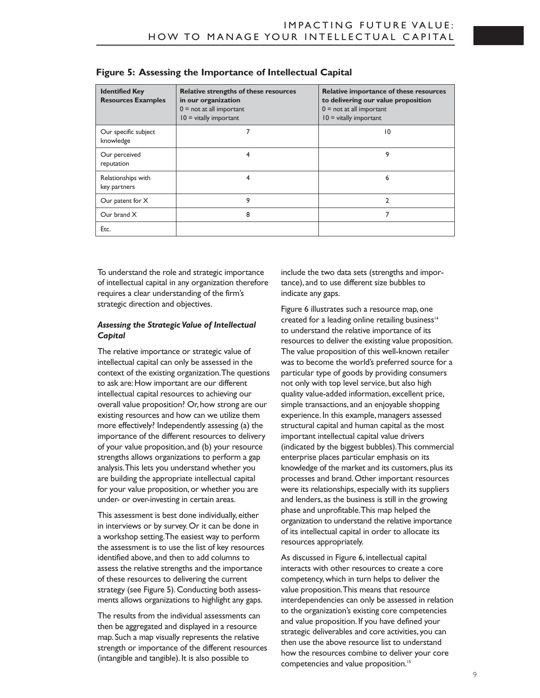| <b>Identified Key</b><br><b>Resources Examples</b> | Relative strengths of these resources<br>in our organization<br>$0 = not at all important$<br>$10 = \text{vitally important}$ | Relative importance of these resources<br>to delivering our value proposition<br>$0 = not at all important$<br>$10 = \text{vitally important}$ |
|----------------------------------------------------|-------------------------------------------------------------------------------------------------------------------------------|------------------------------------------------------------------------------------------------------------------------------------------------|
| Our specific subject<br>knowledge                  |                                                                                                                               | $ 0\rangle$                                                                                                                                    |
| Our perceived<br>reputation                        | 4                                                                                                                             | 9                                                                                                                                              |
| Relationships with<br>key partners                 | 4                                                                                                                             | 6                                                                                                                                              |
| Our patent for X                                   | 9                                                                                                                             | $\mathcal{P}$                                                                                                                                  |
| Our brand $X$                                      | 8                                                                                                                             | 7                                                                                                                                              |
| Etc.                                               |                                                                                                                               |                                                                                                                                                |

**Figure 5: Assessing the Importance of Intellectual Capital**

To understand the role and strategic importance of intellectual capital in any organization therefore requires a clear understanding of the firm's strategic direction and objectives.

#### *Assessing the Strategic Value of Intellectual Capital*

The relative importance or strategic value of intellectual capital can only be assessed in the context of the existing organization.The questions to ask are: How important are our different intellectual capital resources to achieving our overall value proposition? Or, how strong are our existing resources and how can we utilize them more effectively? Independently assessing (a) the importance of the different resources to delivery of your value proposition, and (b) your resource strengths allows organizations to perform a gap analysis.This lets you understand whether you are building the appropriate intellectual capital for your value proposition, or whether you are under- or over-investing in certain areas.

This assessment is best done individually, either in interviews or by survey. Or it can be done in a workshop setting.The easiest way to perform the assessment is to use the list of key resources identified above, and then to add columns to assess the relative strengths and the importance of these resources to delivering the current strategy (see Figure 5). Conducting both assessments allows organizations to highlight any gaps.

The results from the individual assessments can then be aggregated and displayed in a resource map. Such a map visually represents the relative strength or importance of the different resources (intangible and tangible). It is also possible to

include the two data sets (strengths and importance), and to use different size bubbles to indicate any gaps.

Figure 6 illustrates such a resource map, one created for a leading online retailing business<sup>14</sup> to understand the relative importance of its resources to deliver the existing value proposition. The value proposition of this well-known retailer was to become the world's preferred source for a particular type of goods by providing consumers not only with top level service, but also high quality value-added information, excellent price, simple transactions, and an enjoyable shopping experience. In this example, managers assessed structural capital and human capital as the most important intellectual capital value drivers (indicated by the biggest bubbles).This commercial enterprise places particular emphasis on its knowledge of the market and its customers, plus its processes and brand. Other important resources were its relationships, especially with its suppliers and lenders, as the business is still in the growing phase and unprofitable.This map helped the organization to understand the relative importance of its intellectual capital in order to allocate its resources appropriately.

As discussed in Figure 6, intellectual capital interacts with other resources to create a core competency, which in turn helps to deliver the value proposition.This means that resource interdependencies can only be assessed in relation to the organization's existing core competencies and value proposition. If you have defined your strategic deliverables and core activities, you can then use the above resource list to understand how the resources combine to deliver your core competencies and value proposition.<sup>15</sup>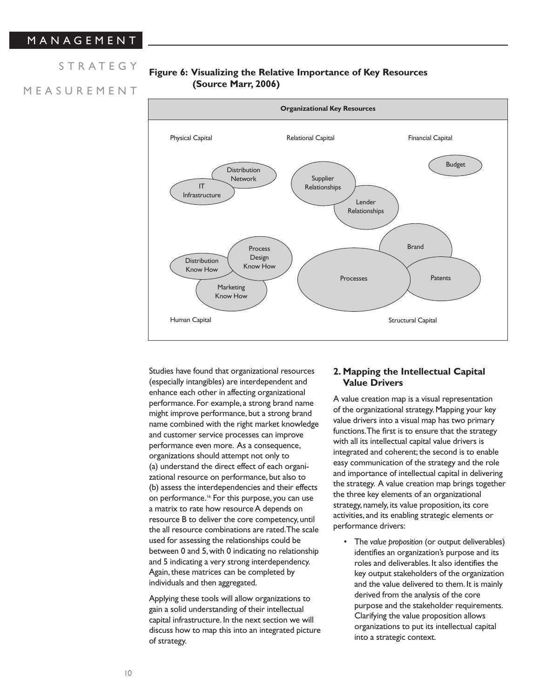## STRATEGY

## MEASUREMENT



## **Figure 6: Visualizing the Relative Importance of Key Resources (Source Marr, 2006)**

Studies have found that organizational resources (especially intangibles) are interdependent and enhance each other in affecting organizational performance. For example, a strong brand name might improve performance, but a strong brand name combined with the right market knowledge and customer service processes can improve performance even more. As a consequence, organizations should attempt not only to (a) understand the direct effect of each organizational resource on performance, but also to (b) assess the interdependencies and their effects on performance.<sup>16</sup> For this purpose, you can use a matrix to rate how resource A depends on resource B to deliver the core competency, until the all resource combinations are rated.The scale used for assessing the relationships could be between 0 and 5, with 0 indicating no relationship and 5 indicating a very strong interdependency. Again, these matrices can be completed by individuals and then aggregated.

Applying these tools will allow organizations to gain a solid understanding of their intellectual capital infrastructure. In the next section we will discuss how to map this into an integrated picture of strategy.

## **2. Mapping the Intellectual Capital Value Drivers**

A value creation map is a visual representation of the organizational strategy. Mapping your key value drivers into a visual map has two primary functions.The first is to ensure that the strategy with all its intellectual capital value drivers is integrated and coherent; the second is to enable easy communication of the strategy and the role and importance of intellectual capital in delivering the strategy. A value creation map brings together the three key elements of an organizational strategy, namely, its value proposition, its core activities, and its enabling strategic elements or performance drivers:

• The *value proposition* (or output deliverables) identifies an organization's purpose and its roles and deliverables. It also identifies the key output stakeholders of the organization and the value delivered to them. It is mainly derived from the analysis of the core purpose and the stakeholder requirements. Clarifying the value proposition allows organizations to put its intellectual capital into a strategic context.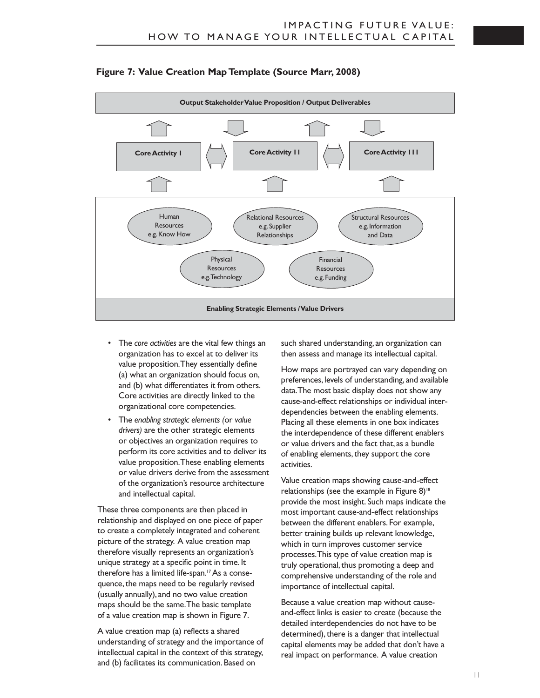

**Figure 7: Value Creation Map Template (Source Marr, 2008)**

- The *core activities* are the vital few things an organization has to excel at to deliver its value proposition.They essentially define (a) what an organization should focus on, and (b) what differentiates it from others. Core activities are directly linked to the organizational core competencies.
- The *enabling strategic elements (*or *value drivers)* are the other strategic elements or objectives an organization requires to perform its core activities and to deliver its value proposition.These enabling elements or value drivers derive from the assessment of the organization's resource architecture and intellectual capital.

These three components are then placed in relationship and displayed on one piece of paper to create a completely integrated and coherent picture of the strategy. A value creation map therefore visually represents an organization's unique strategy at a specific point in time. It therefore has a limited life-span.<sup>17</sup> As a consequence, the maps need to be regularly revised (usually annually), and no two value creation maps should be the same.The basic template of a value creation map is shown in Figure 7.

A value creation map (a) reflects a shared understanding of strategy and the importance of intellectual capital in the context of this strategy, and (b) facilitates its communication. Based on

such shared understanding, an organization can then assess and manage its intellectual capital.

How maps are portrayed can vary depending on preferences, levels of understanding, and available data.The most basic display does not show any cause-and-effect relationships or individual interdependencies between the enabling elements. Placing all these elements in one box indicates the interdependence of these different enablers or value drivers and the fact that, as a bundle of enabling elements, they support the core activities.

Value creation maps showing cause-and-effect relationships (see the example in Figure 8)<sup>18</sup> provide the most insight. Such maps indicate the most important cause-and-effect relationships between the different enablers. For example, better training builds up relevant knowledge, which in turn improves customer service processes.This type of value creation map is truly operational, thus promoting a deep and comprehensive understanding of the role and importance of intellectual capital.

Because a value creation map without causeand-effect links is easier to create (because the detailed interdependencies do not have to be determined), there is a danger that intellectual capital elements may be added that don't have a real impact on performance. A value creation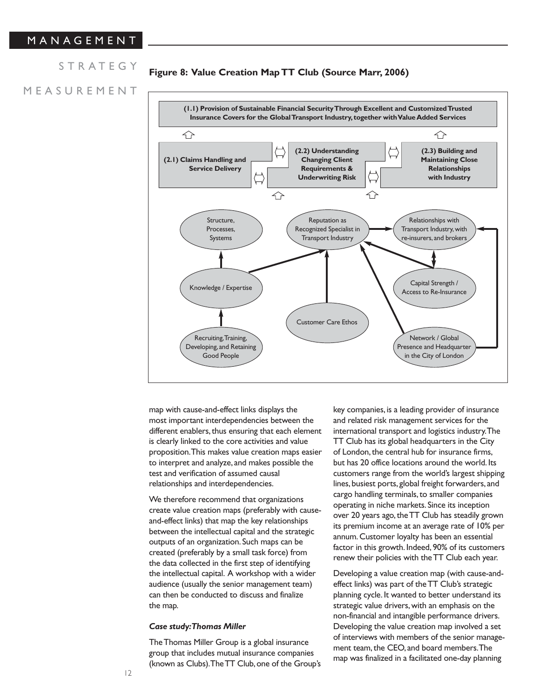## STRATEGY

MEASUREMENT





map with cause-and-effect links displays the most important interdependencies between the different enablers, thus ensuring that each element is clearly linked to the core activities and value proposition.This makes value creation maps easier to interpret and analyze, and makes possible the test and verification of assumed causal relationships and interdependencies.

We therefore recommend that organizations create value creation maps (preferably with causeand-effect links) that map the key relationships between the intellectual capital and the strategic outputs of an organization. Such maps can be created (preferably by a small task force) from the data collected in the first step of identifying the intellectual capital. A workshop with a wider audience (usually the senior management team) can then be conducted to discuss and finalize the map.

#### *Case study:Thomas Miller*

The Thomas Miller Group is a global insurance group that includes mutual insurance companies (known as Clubs).The TT Club,one of the Group's key companies, is a leading provider of insurance and related risk management services for the international transport and logistics industry.The TT Club has its global headquarters in the City of London, the central hub for insurance firms, but has 20 office locations around the world. Its customers range from the world's largest shipping lines, busiest ports, global freight forwarders, and cargo handling terminals, to smaller companies operating in niche markets. Since its inception over 20 years ago, the TT Club has steadily grown its premium income at an average rate of 10% per annum. Customer loyalty has been an essential factor in this growth. Indeed, 90% of its customers renew their policies with the TT Club each year.

Developing a value creation map (with cause-andeffect links) was part of the TT Club's strategic planning cycle. It wanted to better understand its strategic value drivers, with an emphasis on the non-financial and intangible performance drivers. Developing the value creation map involved a set of interviews with members of the senior management team, the CEO, and board members.The map was finalized in a facilitated one-day planning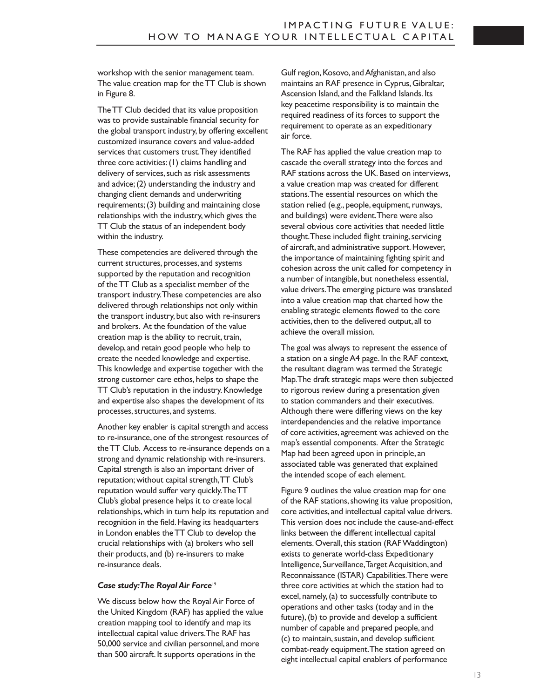workshop with the senior management team. The value creation map for the TT Club is shown in Figure 8.

The TT Club decided that its value proposition was to provide sustainable financial security for the global transport industry, by offering excellent customized insurance covers and value-added services that customers trust.They identified three core activities: (1) claims handling and delivery of services, such as risk assessments and advice; (2) understanding the industry and changing client demands and underwriting requirements; (3) building and maintaining close relationships with the industry, which gives the TT Club the status of an independent body within the industry.

These competencies are delivered through the current structures, processes, and systems supported by the reputation and recognition of the TT Club as a specialist member of the transport industry.These competencies are also delivered through relationships not only within the transport industry, but also with re-insurers and brokers. At the foundation of the value creation map is the ability to recruit, train, develop, and retain good people who help to create the needed knowledge and expertise. This knowledge and expertise together with the strong customer care ethos, helps to shape the TT Club's reputation in the industry. Knowledge and expertise also shapes the development of its processes, structures, and systems.

Another key enabler is capital strength and access to re-insurance, one of the strongest resources of the TT Club. Access to re-insurance depends on a strong and dynamic relationship with re-insurers. Capital strength is also an important driver of reputation; without capital strength,TT Club's reputation would suffer very quickly.The TT Club's global presence helps it to create local relationships, which in turn help its reputation and recognition in the field. Having its headquarters in London enables the TT Club to develop the crucial relationships with (a) brokers who sell their products, and (b) re-insurers to make re-insurance deals.

#### **Case study: The Royal Air Force<sup>19</sup>**

We discuss below how the Royal Air Force of the United Kingdom (RAF) has applied the value creation mapping tool to identify and map its intellectual capital value drivers.The RAF has 50,000 service and civilian personnel, and more than 500 aircraft. It supports operations in the

Gulf region, Kosovo, and Afghanistan, and also maintains an RAF presence in Cyprus, Gibraltar, Ascension Island, and the Falkland Islands. Its key peacetime responsibility is to maintain the required readiness of its forces to support the requirement to operate as an expeditionary air force.

The RAF has applied the value creation map to cascade the overall strategy into the forces and RAF stations across the UK. Based on interviews, a value creation map was created for different stations.The essential resources on which the station relied (e.g., people, equipment, runways, and buildings) were evident.There were also several obvious core activities that needed little thought.These included flight training, servicing of aircraft, and administrative support. However, the importance of maintaining fighting spirit and cohesion across the unit called for competency in a number of intangible, but nonetheless essential, value drivers.The emerging picture was translated into a value creation map that charted how the enabling strategic elements flowed to the core activities, then to the delivered output, all to achieve the overall mission.

The goal was always to represent the essence of a station on a single A4 page. In the RAF context, the resultant diagram was termed the Strategic Map.The draft strategic maps were then subjected to rigorous review during a presentation given to station commanders and their executives. Although there were differing views on the key interdependencies and the relative importance of core activities, agreement was achieved on the map's essential components. After the Strategic Map had been agreed upon in principle, an associated table was generated that explained the intended scope of each element.

Figure 9 outlines the value creation map for one of the RAF stations, showing its value proposition, core activities,and intellectual capital value drivers. This version does not include the cause-and-effect links between the different intellectual capital elements. Overall, this station (RAF Waddington) exists to generate world-class Expeditionary Intelligence, Surveillance,Target Acquisition, and Reconnaissance (ISTAR) Capabilities.There were three core activities at which the station had to excel, namely, (a) to successfully contribute to operations and other tasks (today and in the future), (b) to provide and develop a sufficient number of capable and prepared people, and (c) to maintain, sustain, and develop sufficient combat-ready equipment.The station agreed on eight intellectual capital enablers of performance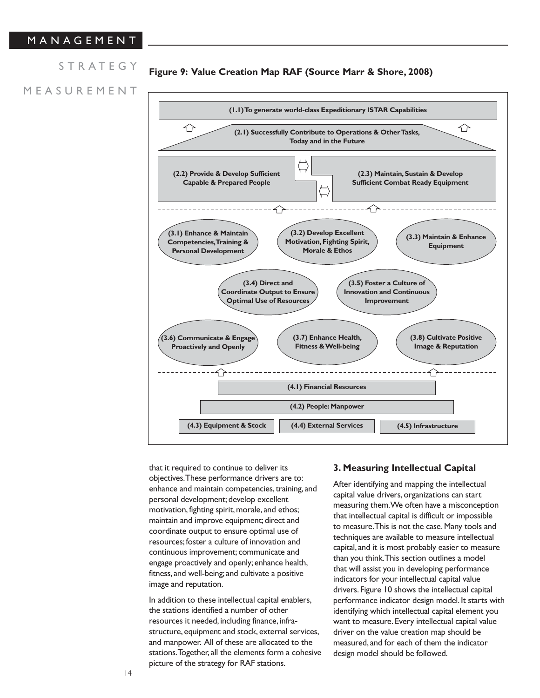## STRATEGY

MEASUREMENT



that it required to continue to deliver its objectives.These performance drivers are to: enhance and maintain competencies, training, and personal development; develop excellent motivation, fighting spirit, morale, and ethos; maintain and improve equipment; direct and coordinate output to ensure optimal use of resources; foster a culture of innovation and continuous improvement; communicate and engage proactively and openly; enhance health, fitness, and well-being; and cultivate a positive image and reputation.

In addition to these intellectual capital enablers, the stations identified a number of other resources it needed, including finance, infrastructure, equipment and stock, external services, and manpower. All of these are allocated to the stations.Together, all the elements form a cohesive picture of the strategy for RAF stations.

#### **3. Measuring Intellectual Capital**

After identifying and mapping the intellectual capital value drivers, organizations can start measuring them.We often have a misconception that intellectual capital is difficult or impossible to measure.This is not the case. Many tools and techniques are available to measure intellectual capital, and it is most probably easier to measure than you think.This section outlines a model that will assist you in developing performance indicators for your intellectual capital value drivers. Figure 10 shows the intellectual capital performance indicator design model. It starts with identifying which intellectual capital element you want to measure. Every intellectual capital value driver on the value creation map should be measured, and for each of them the indicator design model should be followed.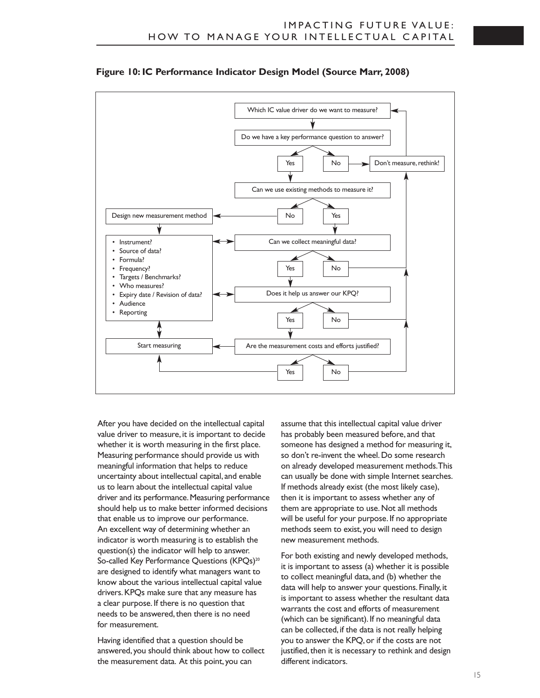



After you have decided on the intellectual capital value driver to measure, it is important to decide whether it is worth measuring in the first place. Measuring performance should provide us with meaningful information that helps to reduce uncertainty about intellectual capital, and enable us to learn about the intellectual capital value driver and its performance. Measuring performance should help us to make better informed decisions that enable us to improve our performance. An excellent way of determining whether an indicator is worth measuring is to establish the question(s) the indicator will help to answer. So-called Key Performance Questions (KPQs)<sup>20</sup> are designed to identify what managers want to know about the various intellectual capital value drivers. KPQs make sure that any measure has a clear purpose. If there is no question that needs to be answered, then there is no need for measurement.

Having identified that a question should be answered, you should think about how to collect the measurement data. At this point, you can

assume that this intellectual capital value driver has probably been measured before, and that someone has designed a method for measuring it, so don't re-invent the wheel. Do some research on already developed measurement methods.This can usually be done with simple Internet searches. If methods already exist (the most likely case), then it is important to assess whether any of them are appropriate to use. Not all methods will be useful for your purpose. If no appropriate methods seem to exist, you will need to design new measurement methods.

For both existing and newly developed methods, it is important to assess (a) whether it is possible to collect meaningful data, and (b) whether the data will help to answer your questions. Finally, it is important to assess whether the resultant data warrants the cost and efforts of measurement (which can be significant). If no meaningful data can be collected, if the data is not really helping you to answer the KPQ, or if the costs are not justified, then it is necessary to rethink and design different indicators.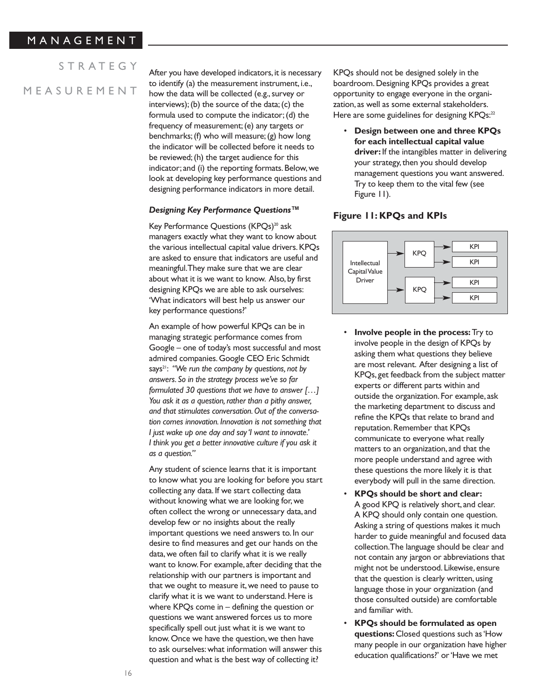## STRATEGY MEASUREMENT

After you have developed indicators, it is necessary to identify (a) the measurement instrument, i.e., how the data will be collected (e.g., survey or interviews); (b) the source of the data; (c) the formula used to compute the indicator; (d) the frequency of measurement; (e) any targets or benchmarks; (f) who will measure; (g) how long the indicator will be collected before it needs to be reviewed; (h) the target audience for this indicator; and (i) the reporting formats. Below, we look at developing key performance questions and designing performance indicators in more detail.

#### *Designing Key Performance Questions™*

Key Performance Questions (KPQs)<sup>20</sup> ask managers exactly what they want to know about the various intellectual capital value drivers. KPQs are asked to ensure that indicators are useful and meaningful.They make sure that we are clear about what it is we want to know. Also, by first designing KPQs we are able to ask ourselves: 'What indicators will best help us answer our key performance questions?'

An example of how powerful KPQs can be in managing strategic performance comes from Google – one of today's most successful and most admired companies. Google CEO Eric Schmidt says<sup>21</sup>: "We run the company by questions, not by *answers.So in the strategy process we've so far formulated 30 questions that we have to answer […]* You ask it as a question, rather than a pithy answer, *and that stimulates conversation.Out of the conversation comes innovation.Innovation is not something that I just wake up one day and say 'I want to innovate.' I think you get a better innovative culture if you ask it as a question."*

Any student of science learns that it is important to know what you are looking for before you start collecting any data. If we start collecting data without knowing what we are looking for, we often collect the wrong or unnecessary data, and develop few or no insights about the really important questions we need answers to. In our desire to find measures and get our hands on the data, we often fail to clarify what it is we really want to know. For example, after deciding that the relationship with our partners is important and that we ought to measure it, we need to pause to clarify what it is we want to understand. Here is where KPQs come in – defining the question or questions we want answered forces us to more specifically spell out just what it is we want to know. Once we have the question, we then have to ask ourselves: what information will answer this question and what is the best way of collecting it?

KPQs should not be designed solely in the boardroom. Designing KPQs provides a great opportunity to engage everyone in the organization, as well as some external stakeholders. Here are some guidelines for designing KPQs:<sup>22</sup>

• **Design between one and three KPQs for each intellectual capital value driver:** If the intangibles matter in delivering your strategy, then you should develop management questions you want answered. Try to keep them to the vital few (see Figure 11).

#### **Figure 11: KPQs and KPIs**



- **Involve people in the process:** Try to involve people in the design of KPQs by asking them what questions they believe are most relevant. After designing a list of KPQs, get feedback from the subject matter experts or different parts within and outside the organization. For example, ask the marketing department to discuss and refine the KPQs that relate to brand and reputation. Remember that KPQs communicate to everyone what really matters to an organization, and that the more people understand and agree with these questions the more likely it is that everybody will pull in the same direction.
- **KPQs should be short and clear:** A good KPQ is relatively short, and clear. A KPQ should only contain one question. Asking a string of questions makes it much harder to guide meaningful and focused data collection.The language should be clear and not contain any jargon or abbreviations that might not be understood. Likewise, ensure that the question is clearly written, using language those in your organization (and those consulted outside) are comfortable and familiar with.
- **KPQs should be formulated as open questions:**Closed questions such as 'How many people in our organization have higher education qualifications?' or 'Have we met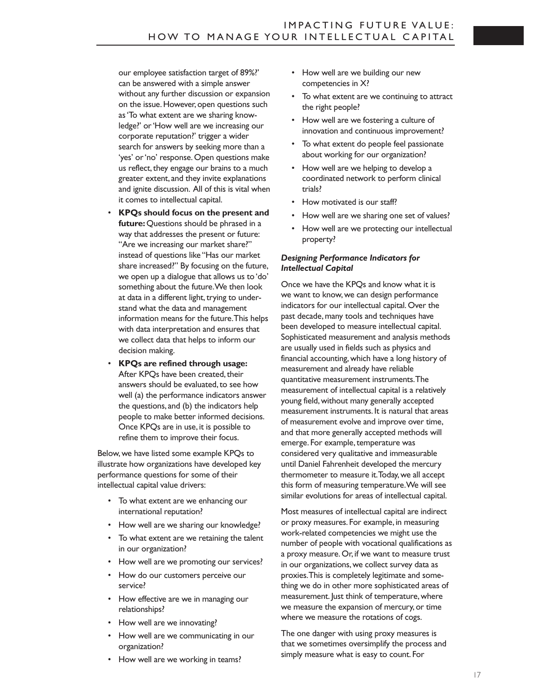our employee satisfaction target of 89%?' can be answered with a simple answer without any further discussion or expansion on the issue. However, open questions such as 'To what extent are we sharing knowledge?' or 'How well are we increasing our corporate reputation?' trigger a wider search for answers by seeking more than a 'yes' or 'no' response. Open questions make us reflect, they engage our brains to a much greater extent, and they invite explanations and ignite discussion. All of this is vital when it comes to intellectual capital.

- **KPQs should focus on the present and future:**Questions should be phrased in a way that addresses the present or future: "Are we increasing our market share?" instead of questions like "Has our market share increased?" By focusing on the future, we open up a dialogue that allows us to 'do' something about the future.We then look at data in a different light, trying to understand what the data and management information means for the future.This helps with data interpretation and ensures that we collect data that helps to inform our decision making.
- **KPQs are refined through usage:** After KPQs have been created, their answers should be evaluated, to see how well (a) the performance indicators answer the questions, and (b) the indicators help people to make better informed decisions. Once KPQs are in use, it is possible to refine them to improve their focus.

Below, we have listed some example KPQs to illustrate how organizations have developed key performance questions for some of their intellectual capital value drivers:

- To what extent are we enhancing our international reputation?
- How well are we sharing our knowledge?
- To what extent are we retaining the talent in our organization?
- How well are we promoting our services?
- How do our customers perceive our service?
- How effective are we in managing our relationships?
- How well are we innovating?
- How well are we communicating in our organization?
- How well are we working in teams?
- How well are we building our new competencies in X?
- To what extent are we continuing to attract the right people?
- How well are we fostering a culture of innovation and continuous improvement?
- To what extent do people feel passionate about working for our organization?
- How well are we helping to develop a coordinated network to perform clinical trials?
- How motivated is our staff?
- How well are we sharing one set of values?
- How well are we protecting our intellectual property?

#### *Designing Performance Indicators for Intellectual Capital*

Once we have the KPQs and know what it is we want to know, we can design performance indicators for our intellectual capital. Over the past decade, many tools and techniques have been developed to measure intellectual capital. Sophisticated measurement and analysis methods are usually used in fields such as physics and financial accounting, which have a long history of measurement and already have reliable quantitative measurement instruments.The measurement of intellectual capital is a relatively young field, without many generally accepted measurement instruments. It is natural that areas of measurement evolve and improve over time, and that more generally accepted methods will emerge. For example, temperature was considered very qualitative and immeasurable until Daniel Fahrenheit developed the mercury thermometer to measure it.Today, we all accept this form of measuring temperature.We will see similar evolutions for areas of intellectual capital.

Most measures of intellectual capital are indirect or proxy measures. For example, in measuring work-related competencies we might use the number of people with vocational qualifications as a proxy measure. Or, if we want to measure trust in our organizations, we collect survey data as proxies.This is completely legitimate and something we do in other more sophisticated areas of measurement. Just think of temperature, where we measure the expansion of mercury, or time where we measure the rotations of cogs.

The one danger with using proxy measures is that we sometimes oversimplify the process and simply measure what is easy to count. For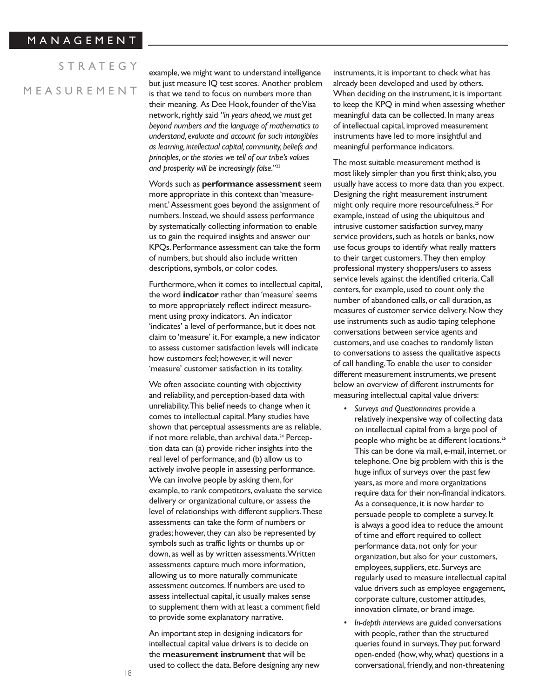## STRATEGY MEASUREMENT

example, we might want to understand intelligence but just measure IQ test scores. Another problem is that we tend to focus on numbers more than their meaning. As Dee Hook, founder of the Visa network, rightly said *"in years ahead,we must get beyond numbers and the language of mathematics to understand,evaluate and account for such intangibles as learning,intellectual capital,community,beliefs and principles,or the stories we tell of our tribe's values and prosperity will be increasingly false."*<sup>23</sup>

Words such as **performance assessment** seem more appropriate in this context than 'measurement.' Assessment goes beyond the assignment of numbers. Instead, we should assess performance by systematically collecting information to enable us to gain the required insights and answer our KPQs. Performance assessment can take the form of numbers, but should also include written descriptions, symbols, or color codes.

Furthermore, when it comes to intellectual capital, the word **indicator** rather than 'measure' seems to more appropriately reflect indirect measurement using proxy indicators. An indicator 'indicates' a level of performance, but it does not claim to 'measure' it. For example, a new indicator to assess customer satisfaction levels will indicate how customers feel; however, it will never 'measure' customer satisfaction in its totality.

We often associate counting with objectivity and reliability, and perception-based data with unreliability.This belief needs to change when it comes to intellectual capital. Many studies have shown that perceptual assessments are as reliable, if not more reliable, than archival data.<sup>24</sup> Perception data can (a) provide richer insights into the real level of performance, and (b) allow us to actively involve people in assessing performance. We can involve people by asking them, for example, to rank competitors, evaluate the service delivery or organizational culture, or assess the level of relationships with different suppliers.These assessments can take the form of numbers or grades; however, they can also be represented by symbols such as traffic lights or thumbs up or down, as well as by written assessments.Written assessments capture much more information, allowing us to more naturally communicate assessment outcomes. If numbers are used to assess intellectual capital, it usually makes sense to supplement them with at least a comment field to provide some explanatory narrative.

An important step in designing indicators for intellectual capital value drivers is to decide on the **measurement instrument** that will be used to collect the data. Before designing any new instruments, it is important to check what has already been developed and used by others. When deciding on the instrument, it is important to keep the KPQ in mind when assessing whether meaningful data can be collected. In many areas of intellectual capital, improved measurement instruments have led to more insightful and meaningful performance indicators.

The most suitable measurement method is most likely simpler than you first think; also, you usually have access to more data than you expect. Designing the right measurement instrument might only require more resourcefulness.25 For example, instead of using the ubiquitous and intrusive customer satisfaction survey, many service providers, such as hotels or banks, now use focus groups to identify what really matters to their target customers.They then employ professional mystery shoppers/users to assess service levels against the identified criteria. Call centers, for example, used to count only the number of abandoned calls, or call duration, as measures of customer service delivery. Now they use instruments such as audio taping telephone conversations between service agents and customers, and use coaches to randomly listen to conversations to assess the qualitative aspects of call handling.To enable the user to consider different measurement instruments, we present below an overview of different instruments for measuring intellectual capital value drivers:

- *Surveys and Questionnaires* provide a relatively inexpensive way of collecting data on intellectual capital from a large pool of people who might be at different locations.<sup>26</sup> This can be done via mail, e-mail, internet, or telephone. One big problem with this is the huge influx of surveys over the past few years, as more and more organizations require data for their non-financial indicators. As a consequence, it is now harder to persuade people to complete a survey. It is always a good idea to reduce the amount of time and effort required to collect performance data, not only for your organization, but also for your customers, employees, suppliers, etc. Surveys are regularly used to measure intellectual capital value drivers such as employee engagement, corporate culture, customer attitudes, innovation climate, or brand image.
- *In-depth interviews* are guided conversations with people, rather than the structured queries found in surveys.They put forward open-ended (how, why, what) questions in a conversational, friendly, and non-threatening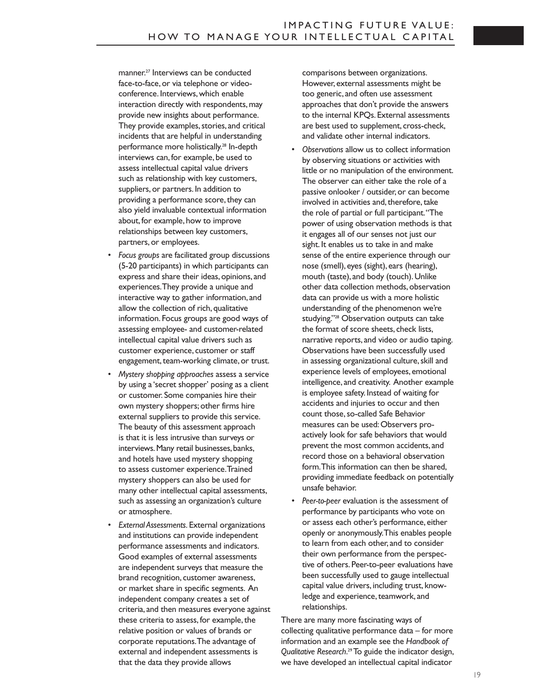manner.27 Interviews can be conducted face-to-face, or via telephone or videoconference. Interviews, which enable interaction directly with respondents, may provide new insights about performance. They provide examples, stories, and critical incidents that are helpful in understanding performance more holistically.<sup>28</sup> In-depth interviews can, for example, be used to assess intellectual capital value drivers such as relationship with key customers, suppliers, or partners. In addition to providing a performance score, they can also yield invaluable contextual information about, for example, how to improve relationships between key customers, partners, or employees.

- *Focus groups* are facilitated group discussions (5-20 participants) in which participants can express and share their ideas, opinions, and experiences.They provide a unique and interactive way to gather information, and allow the collection of rich, qualitative information. Focus groups are good ways of assessing employee- and customer-related intellectual capital value drivers such as customer experience, customer or staff engagement, team-working climate, or trust.
- *Mystery shopping approaches* assess a service by using a 'secret shopper' posing as a client or customer. Some companies hire their own mystery shoppers; other firms hire external suppliers to provide this service. The beauty of this assessment approach is that it is less intrusive than surveys or interviews. Many retail businesses, banks, and hotels have used mystery shopping to assess customer experience.Trained mystery shoppers can also be used for many other intellectual capital assessments, such as assessing an organization's culture or atmosphere.
- *External Assessments.* External organizations and institutions can provide independent performance assessments and indicators. Good examples of external assessments are independent surveys that measure the brand recognition, customer awareness, or market share in specific segments. An independent company creates a set of criteria, and then measures everyone against these criteria to assess, for example, the relative position or values of brands or corporate reputations.The advantage of external and independent assessments is that the data they provide allows

comparisons between organizations. However, external assessments might be too generic, and often use assessment approaches that don't provide the answers to the internal KPQs. External assessments are best used to supplement, cross-check, and validate other internal indicators.

- *Observations* allow us to collect information by observing situations or activities with little or no manipulation of the environment. The observer can either take the role of a passive onlooker / outsider, or can become involved in activities and, therefore, take the role of partial or full participant."The power of using observation methods is that it engages all of our senses not just our sight. It enables us to take in and make sense of the entire experience through our nose (smell), eyes (sight), ears (hearing), mouth (taste), and body (touch). Unlike other data collection methods, observation data can provide us with a more holistic understanding of the phenomenon we're studying."28 Observation outputs can take the format of score sheets, check lists, narrative reports, and video or audio taping. Observations have been successfully used in assessing organizational culture, skill and experience levels of employees, emotional intelligence, and creativity. Another example is employee safety. Instead of waiting for accidents and injuries to occur and then count those, so-called Safe Behavior measures can be used: Observers proactively look for safe behaviors that would prevent the most common accidents, and record those on a behavioral observation form.This information can then be shared, providing immediate feedback on potentially unsafe behavior.
- *Peer-to-peer* evaluation is the assessment of performance by participants who vote on or assess each other's performance, either openly or anonymously.This enables people to learn from each other, and to consider their own performance from the perspective of others. Peer-to-peer evaluations have been successfully used to gauge intellectual capital value drivers, including trust, knowledge and experience, teamwork, and relationships.

There are many more fascinating ways of collecting qualitative performance data – for more information and an example see the *Handbook of Qualitative Research*. 29To guide the indicator design, we have developed an intellectual capital indicator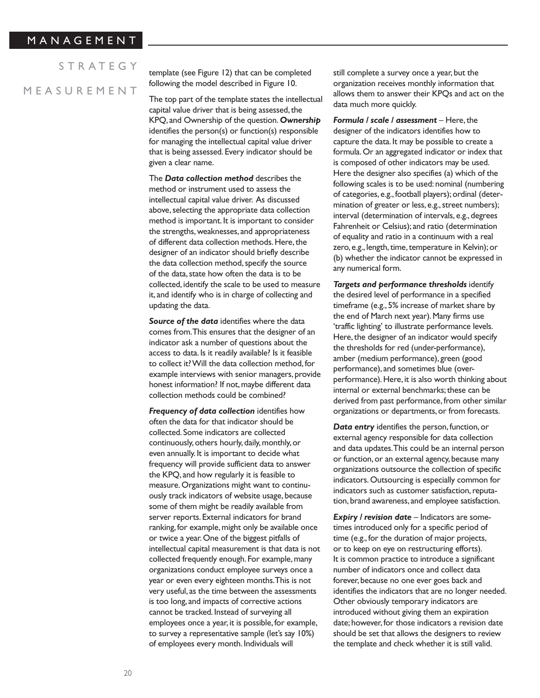## STRATEGY MEASUREMENT

template (see Figure 12) that can be completed following the model described in Figure 10.

The top part of the template states the intellectual capital value driver that is being assessed, the KPQ, and Ownership of the question.*Ownership* identifies the person(s) or function(s) responsible for managing the intellectual capital value driver that is being assessed. Every indicator should be given a clear name.

The *Data collection method* describes the method or instrument used to assess the intellectual capital value driver. As discussed above, selecting the appropriate data collection method is important. It is important to consider the strengths, weaknesses, and appropriateness of different data collection methods. Here, the designer of an indicator should briefly describe the data collection method, specify the source of the data, state how often the data is to be collected, identify the scale to be used to measure it, and identify who is in charge of collecting and updating the data.

*Source of the data* identifies where the data comes from.This ensures that the designer of an indicator ask a number of questions about the access to data. Is it readily available? Is it feasible to collect it? Will the data collection method, for example interviews with senior managers, provide honest information? If not, maybe different data collection methods could be combined?

*Frequency of data collection* identifies how often the data for that indicator should be collected. Some indicators are collected continuously, others hourly, daily, monthly, or even annually. It is important to decide what frequency will provide sufficient data to answer the KPQ, and how regularly it is feasible to measure. Organizations might want to continuously track indicators of website usage, because some of them might be readily available from server reports. External indicators for brand ranking, for example, might only be available once or twice a year. One of the biggest pitfalls of intellectual capital measurement is that data is not collected frequently enough. For example, many organizations conduct employee surveys once a year or even every eighteen months.This is not very useful, as the time between the assessments is too long, and impacts of corrective actions cannot be tracked. Instead of surveying all employees once a year, it is possible, for example, to survey a representative sample (let's say 10%) of employees every month. Individuals will

still complete a survey once a year, but the organization receives monthly information that allows them to answer their KPQs and act on the data much more quickly.

*Formula / scale / assessment – Here, the* designer of the indicators identifies how to capture the data. It may be possible to create a formula. Or an aggregated indicator or index that is composed of other indicators may be used. Here the designer also specifies (a) which of the following scales is to be used: nominal (numbering of categories, e.g., football players); ordinal (determination of greater or less, e.g., street numbers); interval (determination of intervals, e.g., degrees Fahrenheit or Celsius); and ratio (determination of equality and ratio in a continuum with a real zero, e.g., length, time, temperature in Kelvin); or (b) whether the indicator cannot be expressed in any numerical form.

*Targets and performance thresholds* identify the desired level of performance in a specified timeframe (e.g., 5% increase of market share by the end of March next year). Many firms use 'traffic lighting' to illustrate performance levels. Here, the designer of an indicator would specify the thresholds for red (under-performance), amber (medium performance), green (good performance), and sometimes blue (overperformance). Here, it is also worth thinking about internal or external benchmarks; these can be derived from past performance, from other similar organizations or departments, or from forecasts.

*Data entry* identifies the person, function, or external agency responsible for data collection and data updates.This could be an internal person or function, or an external agency, because many organizations outsource the collection of specific indicators. Outsourcing is especially common for indicators such as customer satisfaction, reputation, brand awareness, and employee satisfaction.

**Expiry / revision date** – Indicators are sometimes introduced only for a specific period of time (e.g., for the duration of major projects, or to keep on eye on restructuring efforts). It is common practice to introduce a significant number of indicators once and collect data forever, because no one ever goes back and identifies the indicators that are no longer needed. Other obviously temporary indicators are introduced without giving them an expiration date; however, for those indicators a revision date should be set that allows the designers to review the template and check whether it is still valid.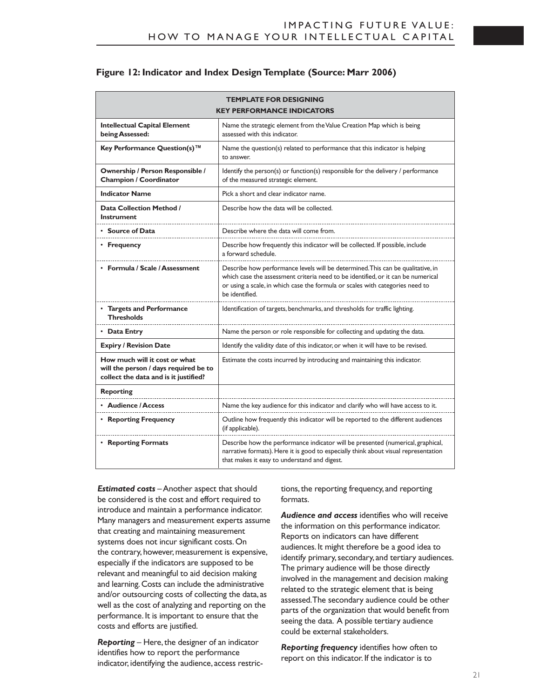## **Figure 12: Indicator and Index Design Template (Source: Marr 2006)**

| <b>TEMPLATE FOR DESIGNING</b>                                                                                   |                                                                                                                                                                                                                                                                        |  |
|-----------------------------------------------------------------------------------------------------------------|------------------------------------------------------------------------------------------------------------------------------------------------------------------------------------------------------------------------------------------------------------------------|--|
| <b>KEY PERFORMANCE INDICATORS</b>                                                                               |                                                                                                                                                                                                                                                                        |  |
| <b>Intellectual Capital Element</b><br>being Assessed:                                                          | Name the strategic element from the Value Creation Map which is being<br>assessed with this indicator.                                                                                                                                                                 |  |
| Key Performance Question(s)™                                                                                    | Name the question(s) related to performance that this indicator is helping<br>to answer.                                                                                                                                                                               |  |
| <b>Ownership / Person Responsible /</b><br><b>Champion / Coordinator</b>                                        | Identify the person(s) or function(s) responsible for the delivery / performance<br>of the measured strategic element.                                                                                                                                                 |  |
| <b>Indicator Name</b>                                                                                           | Pick a short and clear indicator name.                                                                                                                                                                                                                                 |  |
| Data Collection Method /<br><b>Instrument</b>                                                                   | Describe how the data will be collected.                                                                                                                                                                                                                               |  |
| • Source of Data                                                                                                | Describe where the data will come from.                                                                                                                                                                                                                                |  |
| • Frequency                                                                                                     | Describe how frequently this indicator will be collected. If possible, include<br>a forward schedule.                                                                                                                                                                  |  |
| • Formula / Scale / Assessment                                                                                  | Describe how performance levels will be determined. This can be qualitative, in<br>which case the assessment criteria need to be identified, or it can be numerical<br>or using a scale, in which case the formula or scales with categories need to<br>be identified. |  |
| <b>Targets and Performance</b><br><b>Thresholds</b>                                                             | Identification of targets, benchmarks, and thresholds for traffic lighting.                                                                                                                                                                                            |  |
| • Data Entry                                                                                                    | Name the person or role responsible for collecting and updating the data.                                                                                                                                                                                              |  |
| <b>Expiry / Revision Date</b>                                                                                   | Identify the validity date of this indicator, or when it will have to be revised.                                                                                                                                                                                      |  |
| How much will it cost or what<br>will the person / days required be to<br>collect the data and is it justified? | Estimate the costs incurred by introducing and maintaining this indicator.                                                                                                                                                                                             |  |
| <b>Reporting</b>                                                                                                |                                                                                                                                                                                                                                                                        |  |
| • Audience / Access                                                                                             | Name the key audience for this indicator and clarify who will have access to it.                                                                                                                                                                                       |  |
| • Reporting Frequency                                                                                           | Outline how frequently this indicator will be reported to the different audiences<br>(if applicable).                                                                                                                                                                  |  |
| • Reporting Formats                                                                                             | Describe how the performance indicator will be presented (numerical, graphical,<br>narrative formats). Here it is good to especially think about visual representation<br>that makes it easy to understand and digest.                                                 |  |

*Estimated costs* – Another aspect that should be considered is the cost and effort required to introduce and maintain a performance indicator. Many managers and measurement experts assume that creating and maintaining measurement systems does not incur significant costs. On the contrary, however, measurement is expensive, especially if the indicators are supposed to be relevant and meaningful to aid decision making and learning.Costs can include the administrative and/or outsourcing costs of collecting the data, as well as the cost of analyzing and reporting on the performance. It is important to ensure that the costs and efforts are justified.

*Reporting* – Here, the designer of an indicator identifies how to report the performance indicator, identifying the audience, access restrictions, the reporting frequency, and reporting formats.

*Audience and access* identifies who will receive the information on this performance indicator. Reports on indicators can have different audiences. It might therefore be a good idea to identify primary, secondary, and tertiary audiences. The primary audience will be those directly involved in the management and decision making related to the strategic element that is being assessed.The secondary audience could be other parts of the organization that would benefit from seeing the data. A possible tertiary audience could be external stakeholders.

*Reporting frequency* identifies how often to report on this indicator. If the indicator is to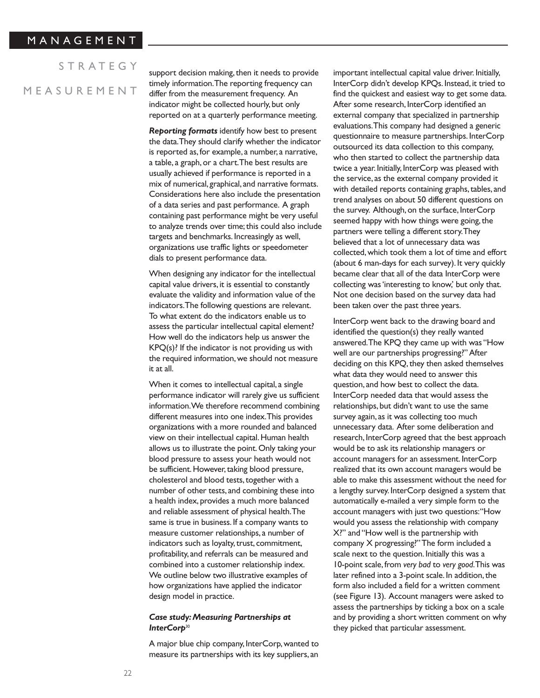## STRATEGY MEASUREMENT

support decision making, then it needs to provide timely information.The reporting frequency can differ from the measurement frequency. An indicator might be collected hourly, but only reported on at a quarterly performance meeting.

*Reporting formats* identify how best to present the data.They should clarify whether the indicator is reported as, for example, a number, a narrative, a table, a graph, or a chart.The best results are usually achieved if performance is reported in a mix of numerical, graphical, and narrative formats. Considerations here also include the presentation of a data series and past performance. A graph containing past performance might be very useful to analyze trends over time; this could also include targets and benchmarks. Increasingly as well, organizations use traffic lights or speedometer dials to present performance data.

When designing any indicator for the intellectual capital value drivers, it is essential to constantly evaluate the validity and information value of the indicators.The following questions are relevant. To what extent do the indicators enable us to assess the particular intellectual capital element? How well do the indicators help us answer the KPQ(s)? If the indicator is not providing us with the required information, we should not measure it at all.

When it comes to intellectual capital, a single performance indicator will rarely give us sufficient information.We therefore recommend combining different measures into one index.This provides organizations with a more rounded and balanced view on their intellectual capital. Human health allows us to illustrate the point. Only taking your blood pressure to assess your heath would not be sufficient. However, taking blood pressure, cholesterol and blood tests, together with a number of other tests, and combining these into a health index, provides a much more balanced and reliable assessment of physical health.The same is true in business. If a company wants to measure customer relationships, a number of indicators such as loyalty, trust, commitment, profitability, and referrals can be measured and combined into a customer relationship index. We outline below two illustrative examples of how organizations have applied the indicator design model in practice.

#### *Case study:Measuring Partnerships at InterCorp*<sup>30</sup>

A major blue chip company, InterCorp, wanted to measure its partnerships with its key suppliers, an

important intellectual capital value driver. Initially, InterCorp didn't develop KPQs. Instead, it tried to find the quickest and easiest way to get some data. After some research, InterCorp identified an external company that specialized in partnership evaluations.This company had designed a generic questionnaire to measure partnerships. InterCorp outsourced its data collection to this company, who then started to collect the partnership data twice a year. Initially, InterCorp was pleased with the service, as the external company provided it with detailed reports containing graphs, tables, and trend analyses on about 50 different questions on the survey. Although, on the surface, InterCorp seemed happy with how things were going, the partners were telling a different story.They believed that a lot of unnecessary data was collected, which took them a lot of time and effort (about 6 man-days for each survey). It very quickly became clear that all of the data InterCorp were collecting was 'interesting to know,' but only that. Not one decision based on the survey data had been taken over the past three years.

InterCorp went back to the drawing board and identified the question(s) they really wanted answered.The KPQ they came up with was "How well are our partnerships progressing?" After deciding on this KPQ, they then asked themselves what data they would need to answer this question, and how best to collect the data. InterCorp needed data that would assess the relationships, but didn't want to use the same survey again, as it was collecting too much unnecessary data. After some deliberation and research, InterCorp agreed that the best approach would be to ask its relationship managers or account managers for an assessment. InterCorp realized that its own account managers would be able to make this assessment without the need for a lengthy survey. InterCorp designed a system that automatically e-mailed a very simple form to the account managers with just two questions:"How would you assess the relationship with company X?" and "How well is the partnership with company X progressing?" The form included a scale next to the question. Initially this was a 10-point scale, from *very bad* to *very good*.This was later refined into a 3-point scale. In addition, the form also included a field for a written comment (see Figure 13). Account managers were asked to assess the partnerships by ticking a box on a scale and by providing a short written comment on why they picked that particular assessment.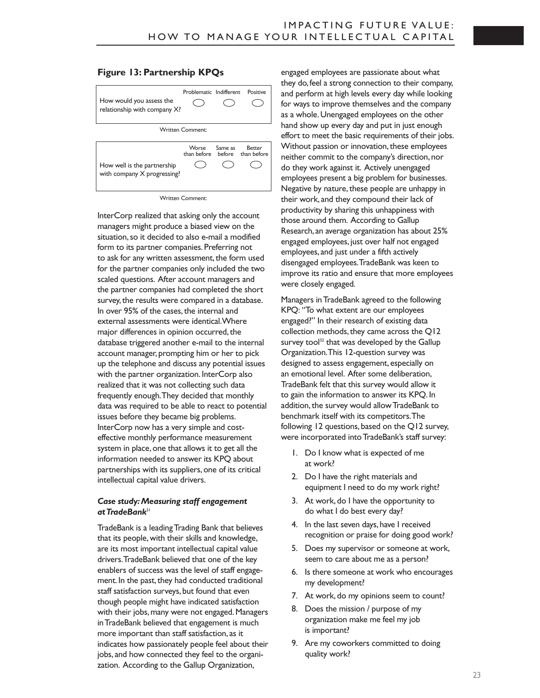## **Figure 13: Partnership KPQs**

| How would you assess the<br>relationship with company X?   | Problematic Indifferent |                   | Positive              |
|------------------------------------------------------------|-------------------------|-------------------|-----------------------|
| <b>Written Comment:</b>                                    |                         |                   |                       |
|                                                            | Worse<br>than before    | Same as<br>hefore | Better<br>than before |
| How well is the partnership<br>with company X progressing? |                         |                   |                       |

Written Comment:

InterCorp realized that asking only the account managers might produce a biased view on the situation, so it decided to also e-mail a modified form to its partner companies. Preferring not to ask for any written assessment, the form used for the partner companies only included the two scaled questions. After account managers and the partner companies had completed the short survey, the results were compared in a database. In over 95% of the cases, the internal and external assessments were identical.Where major differences in opinion occurred, the database triggered another e-mail to the internal account manager, prompting him or her to pick up the telephone and discuss any potential issues with the partner organization. InterCorp also realized that it was not collecting such data frequently enough.They decided that monthly data was required to be able to react to potential issues before they became big problems. InterCorp now has a very simple and costeffective monthly performance measurement system in place, one that allows it to get all the information needed to answer its KPQ about partnerships with its suppliers, one of its critical intellectual capital value drivers.

#### *Case study:Measuring staff engagement at TradeBank*<sup>31</sup>

TradeBank is a leading Trading Bank that believes that its people, with their skills and knowledge, are its most important intellectual capital value drivers.TradeBank believed that one of the key enablers of success was the level of staff engagement. In the past, they had conducted traditional staff satisfaction surveys, but found that even though people might have indicated satisfaction with their jobs, many were not engaged. Managers in TradeBank believed that engagement is much more important than staff satisfaction, as it indicates how passionately people feel about their jobs, and how connected they feel to the organization. According to the Gallup Organization,

engaged employees are passionate about what they do,feel a strong connection to their company, and perform at high levels every day while looking for ways to improve themselves and the company as a whole. Unengaged employees on the other hand show up every day and put in just enough effort to meet the basic requirements of their jobs. Without passion or innovation, these employees neither commit to the company's direction, nor do they work against it. Actively unengaged employees present a big problem for businesses. Negative by nature, these people are unhappy in their work, and they compound their lack of productivity by sharing this unhappiness with those around them. According to Gallup Research,an average organization has about 25% engaged employees, just over half not engaged employees, and just under a fifth actively disengaged employees.TradeBank was keen to improve its ratio and ensure that more employees were closely engaged.

Managers in TradeBank agreed to the following KPQ: "To what extent are our employees engaged?" In their research of existing data collection methods, they came across the Q12 survey tool<sup>32</sup> that was developed by the Gallup Organization.This 12-question survey was designed to assess engagement, especially on an emotional level. After some deliberation, TradeBank felt that this survey would allow it to gain the information to answer its KPQ. In addition, the survey would allow TradeBank to benchmark itself with its competitors.The following 12 questions, based on the Q12 survey, were incorporated into TradeBank's staff survey:

- 1. Do I know what is expected of me at work?
- 2. Do I have the right materials and equipment I need to do my work right?
- 3. At work, do I have the opportunity to do what I do best every day?
- 4. In the last seven days, have I received recognition or praise for doing good work?
- 5. Does my supervisor or someone at work, seem to care about me as a person?
- 6. Is there someone at work who encourages my development?
- 7. At work, do my opinions seem to count?
- 8. Does the mission / purpose of my organization make me feel my job is important?
- 9. Are my coworkers committed to doing quality work?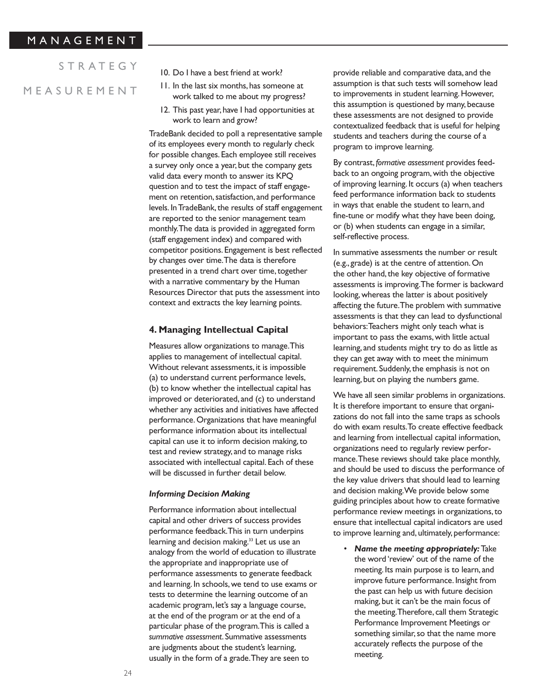## STRATEGY MEASUREMENT

- 10. Do I have a best friend at work?
- 11. In the last six months, has someone at work talked to me about my progress?
- 12. This past year, have I had opportunities at work to learn and grow?

TradeBank decided to poll a representative sample of its employees every month to regularly check for possible changes. Each employee still receives a survey only once a year, but the company gets valid data every month to answer its KPQ question and to test the impact of staff engagement on retention, satisfaction, and performance levels. In TradeBank, the results of staff engagement are reported to the senior management team monthly.The data is provided in aggregated form (staff engagement index) and compared with competitor positions. Engagement is best reflected by changes over time.The data is therefore presented in a trend chart over time, together with a narrative commentary by the Human Resources Director that puts the assessment into context and extracts the key learning points.

### **4. Managing Intellectual Capital**

Measures allow organizations to manage.This applies to management of intellectual capital. Without relevant assessments, it is impossible (a) to understand current performance levels, (b) to know whether the intellectual capital has improved or deteriorated, and (c) to understand whether any activities and initiatives have affected performance. Organizations that have meaningful performance information about its intellectual capital can use it to inform decision making, to test and review strategy, and to manage risks associated with intellectual capital. Each of these will be discussed in further detail below.

#### *Informing Decision Making*

Performance information about intellectual capital and other drivers of success provides performance feedback.This in turn underpins learning and decision making.<sup>33</sup> Let us use an analogy from the world of education to illustrate the appropriate and inappropriate use of performance assessments to generate feedback and learning. In schools, we tend to use exams or tests to determine the learning outcome of an academic program, let's say a language course, at the end of the program or at the end of a particular phase of the program.This is called a *summative assessment*. Summative assessments are judgments about the student's learning, usually in the form of a grade.They are seen to

provide reliable and comparative data, and the assumption is that such tests will somehow lead to improvements in student learning. However, this assumption is questioned by many, because these assessments are not designed to provide contextualized feedback that is useful for helping students and teachers during the course of a program to improve learning.

By contrast, *formative assessment* provides feedback to an ongoing program, with the objective of improving learning. It occurs (a) when teachers feed performance information back to students in ways that enable the student to learn, and fine-tune or modify what they have been doing, or (b) when students can engage in a similar, self-reflective process.

In summative assessments the number or result (e.g., grade) is at the centre of attention. On the other hand, the key objective of formative assessments is improving.The former is backward looking, whereas the latter is about positively affecting the future.The problem with summative assessments is that they can lead to dysfunctional behaviors:Teachers might only teach what is important to pass the exams, with little actual learning, and students might try to do as little as they can get away with to meet the minimum requirement. Suddenly, the emphasis is not on learning, but on playing the numbers game.

We have all seen similar problems in organizations. It is therefore important to ensure that organizations do not fall into the same traps as schools do with exam results.To create effective feedback and learning from intellectual capital information, organizations need to regularly review performance.These reviews should take place monthly, and should be used to discuss the performance of the key value drivers that should lead to learning and decision making.We provide below some guiding principles about how to create formative performance review meetings in organizations, to ensure that intellectual capital indicators are used to improve learning and, ultimately, performance:

• *Name the meeting appropriately:*Take the word 'review' out of the name of the meeting. Its main purpose is to learn, and improve future performance. Insight from the past can help us with future decision making, but it can't be the main focus of the meeting.Therefore, call them Strategic Performance Improvement Meetings or something similar, so that the name more accurately reflects the purpose of the meeting.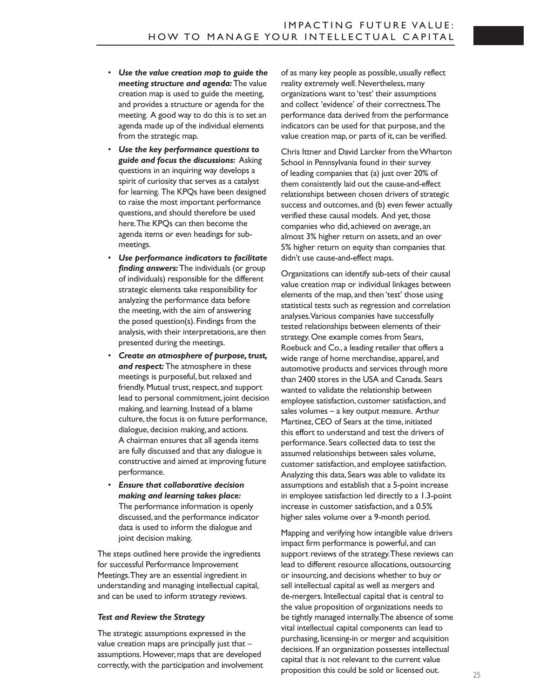- *Use the value creation map to guide the meeting structure and agenda:*The value creation map is used to guide the meeting, and provides a structure or agenda for the meeting. A good way to do this is to set an agenda made up of the individual elements from the strategic map.
- *Use the key performance questions to guide and focus the discussions:* Asking questions in an inquiring way develops a spirit of curiosity that serves as a catalyst for learning. The KPQs have been designed to raise the most important performance questions, and should therefore be used here.The KPQs can then become the agenda items or even headings for submeetings.
- *Use performance indicators to facilitate finding answers:*The individuals (or group of individuals) responsible for the different strategic elements take responsibility for analyzing the performance data before the meeting, with the aim of answering the posed question(s). Findings from the analysis, with their interpretations, are then presented during the meetings.
- *Create an atmosphere of purpose,trust, and respect:*The atmosphere in these meetings is purposeful, but relaxed and friendly. Mutual trust, respect, and support lead to personal commitment, joint decision making, and learning. Instead of a blame culture, the focus is on future performance, dialogue, decision making, and actions. A chairman ensures that all agenda items are fully discussed and that any dialogue is constructive and aimed at improving future performance.
- *Ensure that collaborative decision making and learning takes place:* The performance information is openly discussed, and the performance indicator data is used to inform the dialogue and joint decision making.

The steps outlined here provide the ingredients for successful Performance Improvement Meetings.They are an essential ingredient in understanding and managing intellectual capital, and can be used to inform strategy reviews.

#### *Test and Review the Strategy*

The strategic assumptions expressed in the value creation maps are principally just that – assumptions. However, maps that are developed correctly, with the participation and involvement of as many key people as possible, usually reflect reality extremely well. Nevertheless, many organizations want to 'test' their assumptions and collect 'evidence' of their correctness.The performance data derived from the performance indicators can be used for that purpose, and the value creation map, or parts of it, can be verified.

Chris Ittner and David Larcker from the Wharton School in Pennsylvania found in their survey of leading companies that (a) just over 20% of them consistently laid out the cause-and-effect relationships between chosen drivers of strategic success and outcomes, and (b) even fewer actually verified these causal models. And yet, those companies who did, achieved on average, an almost 3% higher return on assets, and an over 5% higher return on equity than companies that didn't use cause-and-effect maps.

Organizations can identify sub-sets of their causal value creation map or individual linkages between elements of the map, and then 'test' those using statistical tests such as regression and correlation analyses.Various companies have successfully tested relationships between elements of their strategy. One example comes from Sears, Roebuck and Co., a leading retailer that offers a wide range of home merchandise, apparel, and automotive products and services through more than 2400 stores in the USA and Canada. Sears wanted to validate the relationship between employee satisfaction, customer satisfaction, and sales volumes – a key output measure. Arthur Martinez, CEO of Sears at the time, initiated this effort to understand and test the drivers of performance. Sears collected data to test the assumed relationships between sales volume, customer satisfaction, and employee satisfaction. Analyzing this data, Sears was able to validate its assumptions and establish that a 5-point increase in employee satisfaction led directly to a 1.3-point increase in customer satisfaction, and a 0.5% higher sales volume over a 9-month period.

Mapping and verifying how intangible value drivers impact firm performance is powerful, and can support reviews of the strategy.These reviews can lead to different resource allocations, outsourcing or insourcing, and decisions whether to buy or sell intellectual capital as well as mergers and de-mergers. Intellectual capital that is central to the value proposition of organizations needs to be tightly managed internally.The absence of some vital intellectual capital components can lead to purchasing, licensing-in or merger and acquisition decisions. If an organization possesses intellectual capital that is not relevant to the current value proposition this could be sold or licensed out.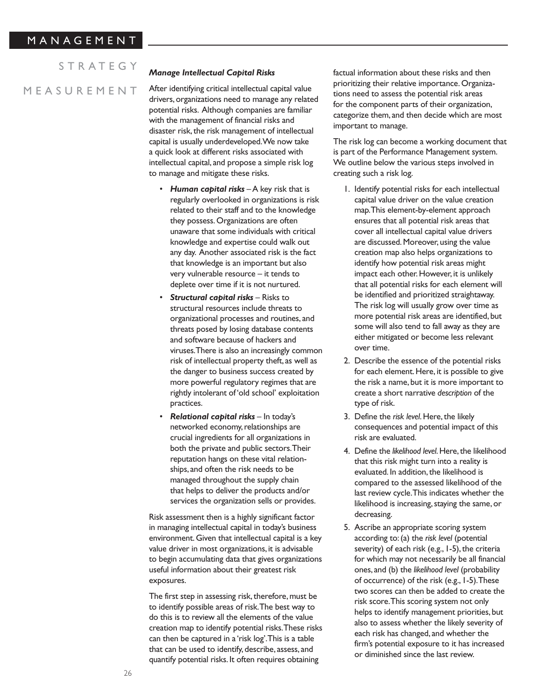## STRATEGY

## MEASUREMENT

#### *Manage Intellectual Capital Risks*

After identifying critical intellectual capital value drivers, organizations need to manage any related potential risks. Although companies are familiar with the management of financial risks and disaster risk, the risk management of intellectual capital is usually underdeveloped.We now take a quick look at different risks associated with intellectual capital, and propose a simple risk log to manage and mitigate these risks.

- *Human capital risks*  A key risk that is regularly overlooked in organizations is risk related to their staff and to the knowledge they possess. Organizations are often unaware that some individuals with critical knowledge and expertise could walk out any day. Another associated risk is the fact that knowledge is an important but also very vulnerable resource – it tends to deplete over time if it is not nurtured.
- *Structural capital risks*  Risks to structural resources include threats to organizational processes and routines, and threats posed by losing database contents and software because of hackers and viruses.There is also an increasingly common risk of intellectual property theft, as well as the danger to business success created by more powerful regulatory regimes that are rightly intolerant of 'old school' exploitation practices.
- *Relational capital risks*  In today's networked economy, relationships are crucial ingredients for all organizations in both the private and public sectors.Their reputation hangs on these vital relationships, and often the risk needs to be managed throughout the supply chain that helps to deliver the products and/or services the organization sells or provides.

Risk assessment then is a highly significant factor in managing intellectual capital in today's business environment. Given that intellectual capital is a key value driver in most organizations, it is advisable to begin accumulating data that gives organizations useful information about their greatest risk exposures.

The first step in assessing risk, therefore, must be to identify possible areas of risk.The best way to do this is to review all the elements of the value creation map to identify potential risks.These risks can then be captured in a 'risk log'.This is a table that can be used to identify, describe, assess, and quantify potential risks. It often requires obtaining

factual information about these risks and then prioritizing their relative importance. Organizations need to assess the potential risk areas for the component parts of their organization, categorize them, and then decide which are most important to manage.

The risk log can become a working document that is part of the Performance Management system. We outline below the various steps involved in creating such a risk log.

- 1. Identify potential risks for each intellectual capital value driver on the value creation map.This element-by-element approach ensures that all potential risk areas that cover all intellectual capital value drivers are discussed. Moreover, using the value creation map also helps organizations to identify how potential risk areas might impact each other. However, it is unlikely that all potential risks for each element will be identified and prioritized straightaway. The risk log will usually grow over time as more potential risk areas are identified, but some will also tend to fall away as they are either mitigated or become less relevant over time.
- 2. Describe the essence of the potential risks for each element. Here, it is possible to give the risk a name, but it is more important to create a short narrative *description* of the type of risk.
- 3. Define the *risk level*.Here, the likely consequences and potential impact of this risk are evaluated.
- 4. Define the *likelihood level*.Here,the likelihood that this risk might turn into a reality is evaluated. In addition, the likelihood is compared to the assessed likelihood of the last review cycle.This indicates whether the likelihood is increasing, staying the same, or decreasing.
- 5. Ascribe an appropriate scoring system according to: (a) the *risk level* (potential severity) of each risk (e.g., 1-5), the criteria for which may not necessarily be all financial ones, and (b) the *likelihood level* (probability of occurrence) of the risk (e.g., 1-5).These two scores can then be added to create the risk score.This scoring system not only helps to identify management priorities, but also to assess whether the likely severity of each risk has changed, and whether the firm's potential exposure to it has increased or diminished since the last review.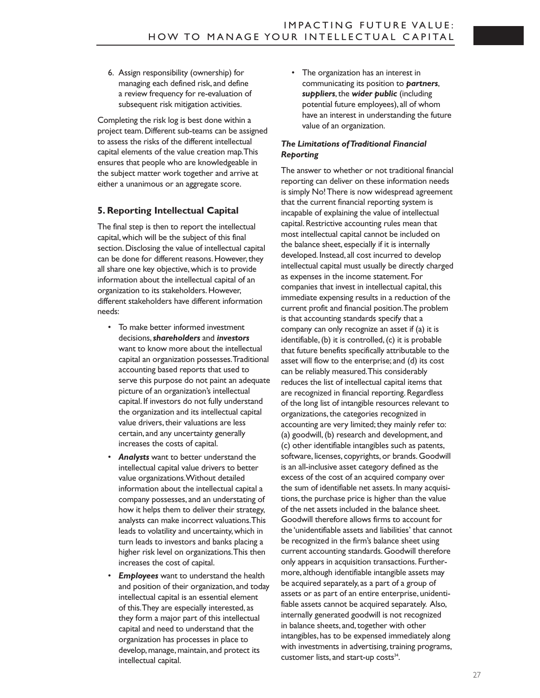6. Assign responsibility (ownership) for managing each defined risk, and define a review frequency for re-evaluation of subsequent risk mitigation activities.

Completing the risk log is best done within a project team. Different sub-teams can be assigned to assess the risks of the different intellectual capital elements of the value creation map.This ensures that people who are knowledgeable in the subject matter work together and arrive at either a unanimous or an aggregate score.

## **5. Reporting Intellectual Capital**

The final step is then to report the intellectual capital, which will be the subject of this final section. Disclosing the value of intellectual capital can be done for different reasons. However, they all share one key objective, which is to provide information about the intellectual capital of an organization to its stakeholders. However, different stakeholders have different information needs:

- To make better informed investment decisions,*shareholders* and *investors*  want to know more about the intellectual capital an organization possesses.Traditional accounting based reports that used to serve this purpose do not paint an adequate picture of an organization's intellectual capital. If investors do not fully understand the organization and its intellectual capital value drivers, their valuations are less certain, and any uncertainty generally increases the costs of capital.
- *Analysts* want to better understand the intellectual capital value drivers to better value organizations.Without detailed information about the intellectual capital a company possesses, and an understating of how it helps them to deliver their strategy, analysts can make incorrect valuations.This leads to volatility and uncertainty, which in turn leads to investors and banks placing a higher risk level on organizations.This then increases the cost of capital.
- **Employees** want to understand the health and position of their organization, and today intellectual capital is an essential element of this.They are especially interested, as they form a major part of this intellectual capital and need to understand that the organization has processes in place to develop, manage, maintain, and protect its intellectual capital.

The organization has an interest in communicating its position to *partners*, suppliers, the wider public (including potential future employees), all of whom have an interest in understanding the future value of an organization.

### *The Limitations of Traditional Financial Reporting*

The answer to whether or not traditional financial reporting can deliver on these information needs is simply No! There is now widespread agreement that the current financial reporting system is incapable of explaining the value of intellectual capital. Restrictive accounting rules mean that most intellectual capital cannot be included on the balance sheet, especially if it is internally developed. Instead, all cost incurred to develop intellectual capital must usually be directly charged as expenses in the income statement. For companies that invest in intellectual capital, this immediate expensing results in a reduction of the current profit and financial position.The problem is that accounting standards specify that a company can only recognize an asset if (a) it is identifiable, (b) it is controlled, (c) it is probable that future benefits specifically attributable to the asset will flow to the enterprise; and (d) its cost can be reliably measured.This considerably reduces the list of intellectual capital items that are recognized in financial reporting. Regardless of the long list of intangible resources relevant to organizations, the categories recognized in accounting are very limited; they mainly refer to: (a) goodwill, (b) research and development, and (c) other identifiable intangibles such as patents, software, licenses, copyrights, or brands. Goodwill is an all-inclusive asset category defined as the excess of the cost of an acquired company over the sum of identifiable net assets. In many acquisitions, the purchase price is higher than the value of the net assets included in the balance sheet. Goodwill therefore allows firms to account for the 'unidentifiable assets and liabilities' that cannot be recognized in the firm's balance sheet using current accounting standards. Goodwill therefore only appears in acquisition transactions. Furthermore, although identifiable intangible assets may be acquired separately, as a part of a group of assets or as part of an entire enterprise, unidentifiable assets cannot be acquired separately. Also, internally generated goodwill is not recognized in balance sheets, and, together with other intangibles, has to be expensed immediately along with investments in advertising, training programs, customer lists, and start-up costs<sup>34</sup>.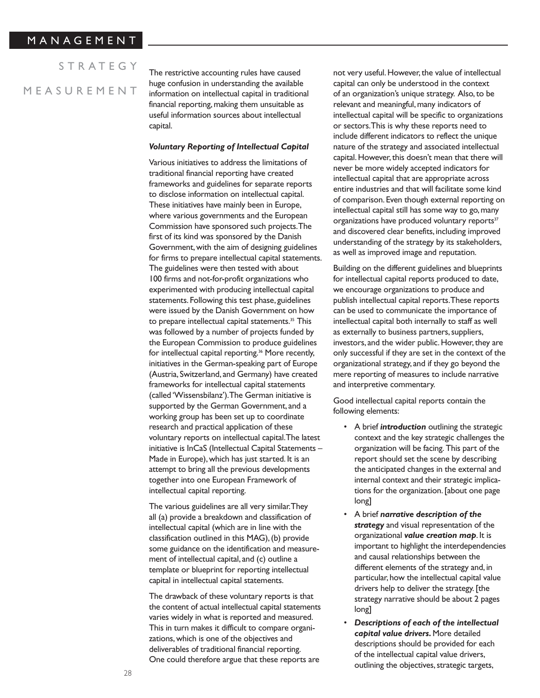## STRATEGY MEASUREMENT

The restrictive accounting rules have caused huge confusion in understanding the available information on intellectual capital in traditional financial reporting, making them unsuitable as useful information sources about intellectual capital.

#### *Voluntary Reporting of Intellectual Capital*

Various initiatives to address the limitations of traditional financial reporting have created frameworks and guidelines for separate reports to disclose information on intellectual capital. These initiatives have mainly been in Europe, where various governments and the European Commission have sponsored such projects.The first of its kind was sponsored by the Danish Government, with the aim of designing guidelines for firms to prepare intellectual capital statements. The guidelines were then tested with about 100 firms and not-for-profit organizations who experimented with producing intellectual capital statements. Following this test phase, guidelines were issued by the Danish Government on how to prepare intellectual capital statements.<sup>35</sup> This was followed by a number of projects funded by the European Commission to produce guidelines for intellectual capital reporting.<sup>36</sup> More recently, initiatives in the German-speaking part of Europe (Austria, Switzerland, and Germany) have created frameworks for intellectual capital statements (called 'Wissensbilanz').The German initiative is supported by the German Government, and a working group has been set up to coordinate research and practical application of these voluntary reports on intellectual capital.The latest initiative is InCaS (Intellectual Capital Statements – Made in Europe), which has just started. It is an attempt to bring all the previous developments together into one European Framework of intellectual capital reporting.

The various guidelines are all very similar.They all (a) provide a breakdown and classification of intellectual capital (which are in line with the classification outlined in this MAG), (b) provide some guidance on the identification and measurement of intellectual capital, and (c) outline a template or blueprint for reporting intellectual capital in intellectual capital statements.

The drawback of these voluntary reports is that the content of actual intellectual capital statements varies widely in what is reported and measured. This in turn makes it difficult to compare organizations, which is one of the objectives and deliverables of traditional financial reporting. One could therefore argue that these reports are

not very useful. However, the value of intellectual capital can only be understood in the context of an organization's unique strategy. Also, to be relevant and meaningful, many indicators of intellectual capital will be specific to organizations or sectors.This is why these reports need to include different indicators to reflect the unique nature of the strategy and associated intellectual capital. However, this doesn't mean that there will never be more widely accepted indicators for intellectual capital that are appropriate across entire industries and that will facilitate some kind of comparison. Even though external reporting on intellectual capital still has some way to go, many organizations have produced voluntary reports<sup>37</sup> and discovered clear benefits, including improved understanding of the strategy by its stakeholders, as well as improved image and reputation.

Building on the different guidelines and blueprints for intellectual capital reports produced to date, we encourage organizations to produce and publish intellectual capital reports.These reports can be used to communicate the importance of intellectual capital both internally to staff as well as externally to business partners, suppliers, investors, and the wider public. However, they are only successful if they are set in the context of the organizational strategy, and if they go beyond the mere reporting of measures to include narrative and interpretive commentary.

Good intellectual capital reports contain the following elements:

- A brief *introduction* outlining the strategic context and the key strategic challenges the organization will be facing. This part of the report should set the scene by describing the anticipated changes in the external and internal context and their strategic implications for the organization. [about one page long]
- A brief *narrative description of the strategy* and visual representation of the organizational *value creation map*. It is important to highlight the interdependencies and causal relationships between the different elements of the strategy and, in particular, how the intellectual capital value drivers help to deliver the strategy. [the strategy narrative should be about 2 pages long]
- *Descriptions of each of the intellectual capital value drivers.*More detailed descriptions should be provided for each of the intellectual capital value drivers, outlining the objectives, strategic targets,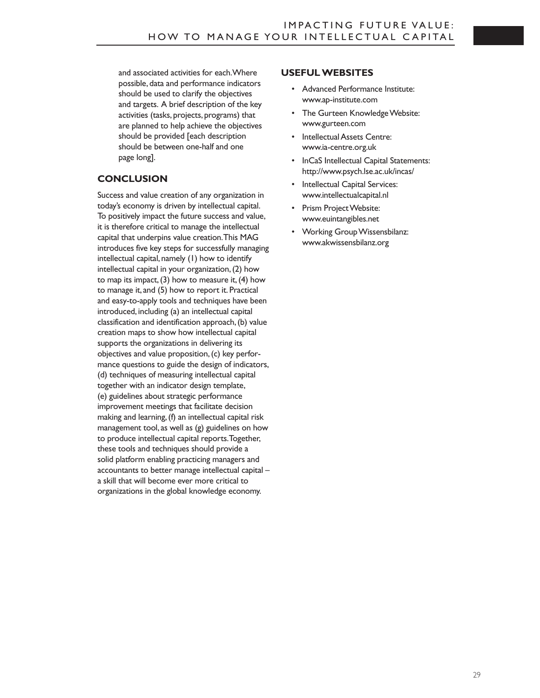and associated activities for each.Where possible, data and performance indicators should be used to clarify the objectives and targets. A brief description of the key activities (tasks, projects, programs) that are planned to help achieve the objectives should be provided [each description should be between one-half and one page long].

## **CONCLUSION**

Success and value creation of any organization in today's economy is driven by intellectual capital. To positively impact the future success and value, it is therefore critical to manage the intellectual capital that underpins value creation.This MAG introduces five key steps for successfully managing intellectual capital, namely (1) how to identify intellectual capital in your organization, (2) how to map its impact,  $(3)$  how to measure it,  $(4)$  how to manage it, and (5) how to report it. Practical and easy-to-apply tools and techniques have been introduced, including (a) an intellectual capital classification and identification approach, (b) value creation maps to show how intellectual capital supports the organizations in delivering its objectives and value proposition, (c) key performance questions to guide the design of indicators, (d) techniques of measuring intellectual capital together with an indicator design template, (e) guidelines about strategic performance improvement meetings that facilitate decision making and learning, (f) an intellectual capital risk management tool, as well as (g) guidelines on how to produce intellectual capital reports.Together, these tools and techniques should provide a solid platform enabling practicing managers and accountants to better manage intellectual capital – a skill that will become ever more critical to organizations in the global knowledge economy.

### **USEFUL WEBSITES**

- Advanced Performance Institute: www.ap-institute.com
- The Gurteen Knowledge Website: www.gurteen.com
- Intellectual Assets Centre: www.ia-centre.org.uk
- InCaS Intellectual Capital Statements: http://www.psych.lse.ac.uk/incas/
- Intellectual Capital Services: www.intellectualcapital.nl
- Prism Project Website: www.euintangibles.net
- Working Group Wissensbilanz: www.akwissensbilanz.org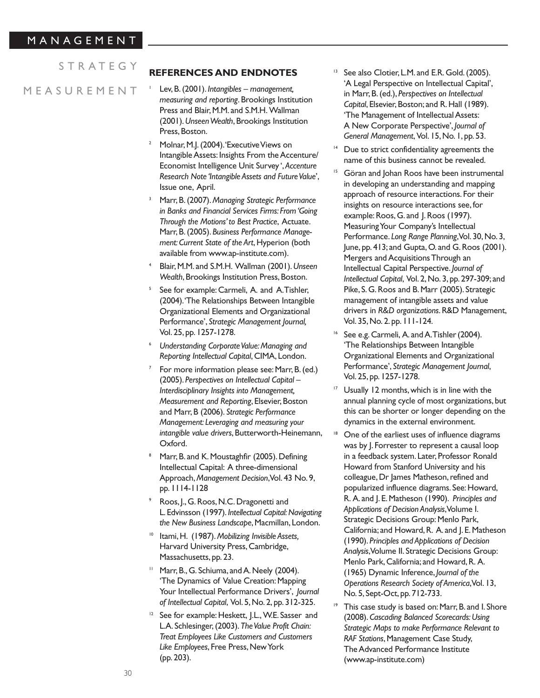## STRATEGY

MEASUREMENT

## **REFERENCES AND ENDNOTES**

- <sup>1</sup> Lev, B. (2001). *Intangibles management, measuring and reporting*. Brookings Institution Press and Blair, M.M. and S.M.H. Wallman (2001).*Unseen Wealth*, Brookings Institution Press, Boston.
- <sup>2</sup> Molnar, M.J. (2004). 'Executive Views on Intangible Assets: Insights From the Accenture/ Economist Intelligence Unit Survey ', *Accenture Research Note 'Intangible Assets and Future Value*', Issue one, April.
- <sup>3</sup> Marr, B. (2007). *Managing Strategic Performance in Banks and Financial Services Firms:From 'Going Through the Motions'to Best Practice*, Actuate. Marr, B. (2005). *Business Performance Management: Current State of the Art*, Hyperion (both available from www.ap-institute.com).
- <sup>4</sup> Blair, M.M. and S.M.H. Wallman (2001).*Unseen Wealth*, Brookings Institution Press, Boston.
- <sup>5</sup> See for example: Carmeli, A. and A. Tishler, (2004).'The Relationships Between Intangible Organizational Elements and Organizational Performance', *Strategic Management Journal,* Vol. 25, pp. 1257-1278.
- *Understanding Corporate Value: Managing and Reporting Intellectual Capital*,CIMA, London.
- <sup>7</sup> For more information please see: Marr, B. (ed.) (2005). *Perspectives on Intellectual Capital – Interdisciplinary Insights into Management, Measurement and Reporting*, Elsevier, Boston and Marr, B (2006). *Strategic Performance Management:Leveraging and measuring your intangible value drivers*,Butterworth-Heinemann, Oxford.
- <sup>8</sup> Marr, B. and K. Moustaghfir (2005). Defining Intellectual Capital: A three-dimensional Approach, *Management Decision*,Vol. 43 No. 9, pp. 1114-1128
- Roos, J., G. Roos, N.C. Dragonetti and L.Edvinsson (1997). *Intellectual Capital:Navigating* the New Business Landscape, Macmillan, London.
- <sup>10</sup> Itami, H. (1987). *Mobilizing Invisible Assets,* Harvard University Press, Cambridge, Massachusetts, pp. 23.
- <sup>11</sup> Marr, B., G. Schiuma, and A. Neely (2004). 'The Dynamics of Value Creation: Mapping Your Intellectual Performance Drivers', *Journal of Intellectual Capital*, Vol. 5, No. 2, pp. 312-325.
- See for example: Heskett, J.L., W.E. Sasser and L.A. Schlesinger, (2003). *The Value Profit Chain: Treat Employees Like Customers and Customers Like Employees*, Free Press, New York (pp. 203).
- <sup>13</sup> See also Clotier, L.M. and E.R. Gold. (2005). 'A Legal Perspective on Intellectual Capital', in Marr, B. (ed.), *Perspectives on Intellectual Capital*, Elsevier, Boston; and R. Hall (1989). 'The Management of Intellectual Assets: A New Corporate Perspective', *Journal of General Management*, Vol. 15, No. 1, pp. 53.
- Due to strict confidentiality agreements the name of this business cannot be revealed.
- <sup>15</sup> Göran and Johan Roos have been instrumental in developing an understanding and mapping approach of resource interactions. For their insights on resource interactions see, for example: Roos, G. and J. Roos (1997). Measuring Your Company's Intellectual Performance. *Long Range Planning*,Vol. 30, No. 3, June, pp. 413; and Gupta, O. and G. Roos (2001). Mergers and Acquisitions Through an Intellectual Capital Perspective. *Journal of Intellectual Capital*, Vol. 2, No. 3, pp. 297-309; and Pike, S. G. Roos and B. Marr (2005). Strategic management of intangible assets and value drivers in *R&D organizations*.R&D Management, Vol. 35, No. 2. pp. 111-124.
- <sup>16</sup> See e.g. Carmeli, A. and A. Tishler (2004). 'The Relationships Between Intangible Organizational Elements and Organizational Performance', *Strategic Management Journal*, Vol. 25, pp. 1257-1278.
- <sup>17</sup> Usually 12 months, which is in line with the annual planning cycle of most organizations, but this can be shorter or longer depending on the dynamics in the external environment.
- <sup>18</sup> One of the earliest uses of influence diagrams was by J. Forrester to represent a causal loop in a feedback system. Later, Professor Ronald Howard from Stanford University and his colleague, Dr James Matheson, refined and popularized influence diagrams. See: Howard, R. A. and J. E. Matheson (1990). *Principles and Applications of Decision Analysis*,Volume I. Strategic Decisions Group: Menlo Park, California; and Howard, R. A. and J. E. Matheson (1990). *Principles and Applications of Decision Analysis*,Volume II. Strategic Decisions Group: Menlo Park, California; and Howard, R. A. (1965) Dynamic Inference, *Journal of the Operations Research Society of America*,Vol. 13, No. 5, Sept-Oct, pp. 712-733.
- This case study is based on: Marr, B. and I. Shore (2008). *Cascading Balanced Scorecards:Using Strategic Maps to make Performance Relevant to* **RAF Stations, Management Case Study,** The Advanced Performance Institute (www.ap-institute.com)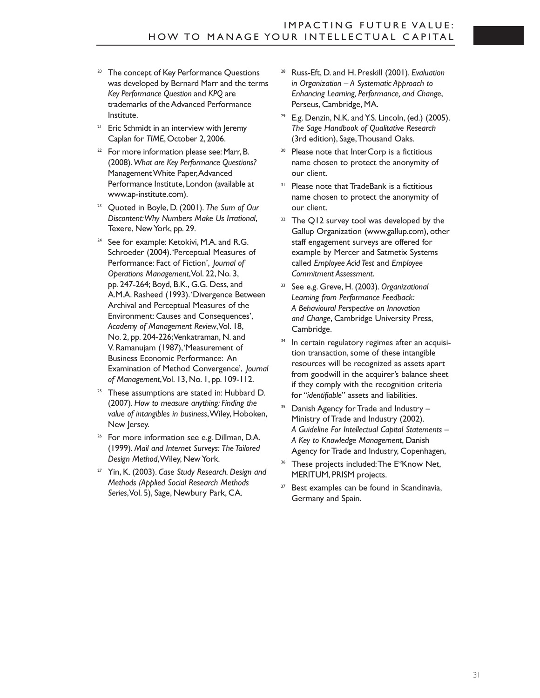- The concept of Key Performance Questions was developed by Bernard Marr and the terms *Key Performance Question* and *KPQ* are trademarks of the Advanced Performance Institute.
- <sup>21</sup> Eric Schmidt in an interview with Jeremy Caplan for *TIME*, October 2, 2006.
- <sup>22</sup> For more information please see: Marr, B. (2008).*What are Key Performance Questions?* Management White Paper,Advanced Performance Institute, London (available at www.ap-institute.com).
- <sup>23</sup> Quoted in Boyle, D. (2001). *The Sum of Our Discontent:Why Numbers Make Us Irrational*, Texere, New York, pp. 29.
- <sup>24</sup> See for example: Ketokivi, M.A. and R.G. Schroeder (2004).'Perceptual Measures of Performance: Fact of Fiction', *Journal of Operations Management*,Vol. 22, No. 3, pp. 247-264; Boyd, B.K., G.G. Dess, and A.M.A. Rasheed (1993).'Divergence Between Archival and Perceptual Measures of the Environment: Causes and Consequences', *Academy of Management Review*,Vol. 18, No. 2, pp. 204-226;Venkatraman, N. and V. Ramanujam (1987),'Measurement of Business Economic Performance: An Examination of Method Convergence', *Journal of Management*,Vol. 13, No. 1, pp. 109-112.
- <sup>25</sup> These assumptions are stated in: Hubbard D. (2007). *How to measure anything: Finding the value of intangibles in business*,Wiley, Hoboken, New Jersey.
- <sup>26</sup> For more information see e.g. Dillman, D.A. (1999). *Mail and Internet Surveys: The Tailored Design Method*,Wiley, New York.
- <sup>27</sup> Yin, K. (2003). *Case Study Research. Design and Methods (Applied Social Research Methods Series*,Vol. 5), Sage, Newbury Park, CA.
- <sup>28</sup> Russ-Eft, D. and H. Preskill (2001). *Evaluation in Organization – A Systematic Approach to Enhancing Learning, Performance, and Change*, Perseus, Cambridge, MA.
- $29$  E.g. Denzin, N.K. and Y.S. Lincoln, (ed.) (2005). *The Sage Handbook of Qualitative Research*  (3rd edition), Sage,Thousand Oaks.
- <sup>30</sup> Please note that InterCorp is a fictitious name chosen to protect the anonymity of our client.
- <sup>31</sup> Please note that TradeBank is a fictitious name chosen to protect the anonymity of our client.
- <sup>32</sup> The Q12 survey tool was developed by the Gallup Organization (www.gallup.com), other staff engagement surveys are offered for example by Mercer and Satmetix Systems called *Employee Acid Test* and *Employee Commitment Assessment*.
- <sup>33</sup> See e.g. Greve, H. (2003). *Organizational Learning from Performance Feedback: A Behavioural Perspective on Innovation and Change*, Cambridge University Press, Cambridge.
- In certain regulatory regimes after an acquisition transaction, some of these intangible resources will be recognized as assets apart from goodwill in the acquirer's balance sheet if they comply with the recognition criteria for "*identifiable*" assets and liabilities.
- <sup>35</sup> Danish Agency for Trade and Industry *–* Ministry of Trade and Industry (2002). *A Guideline For Intellectual Capital Statements – A Key to Knowledge Management*, Danish Agency for Trade and Industry, Copenhagen,
- <sup>36</sup> These projects included: The E<sup>\*</sup>Know Net, MERITUM, PRISM projects.
- Best examples can be found in Scandinavia, Germany and Spain.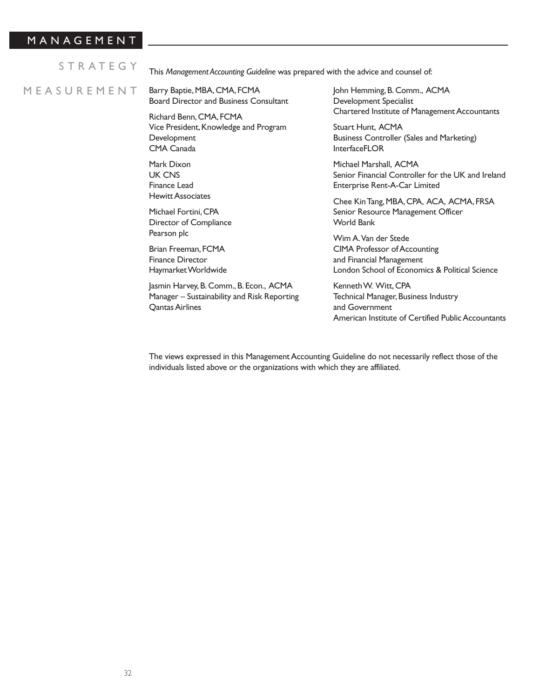## STRATEGY

MEASUREMENT

This *Management Accounting Guideline* was prepared with the advice and counsel of:

Barry Baptie, MBA, CMA, FCMA Board Director and Business Consultant

Richard Benn, CMA, FCMA Vice President, Knowledge and Program Development CMA Canada

Mark Dixon UK CNS Finance Lead Hewitt Associates

Michael Fortini, CPA Director of Compliance Pearson plc

Brian Freeman, FCMA Finance Director Haymarket Worldwide

Jasmin Harvey, B. Comm., B. Econ., ACMA Manager – Sustainability and Risk Reporting Qantas Airlines

John Hemming, B. Comm., ACMA Development Specialist Chartered Institute of Management Accountants

Stuart Hunt, ACMA Business Controller (Sales and Marketing) **InterfaceFLOR** 

Michael Marshall, ACMA Senior Financial Controller for the UK and Ireland Enterprise Rent-A-Car Limited

Chee Kin Tang, MBA, CPA, ACA, ACMA, FRSA Senior Resource Management Officer World Bank

Wim A.Van der Stede CIMA Professor of Accounting and Financial Management London School of Economics & Political Science

Kenneth W. Witt, CPA Technical Manager, Business Industry and Government American Institute of Certified Public Accountants

The views expressed in this Management Accounting Guideline do not necessarily reflect those of the individuals listed above or the organizations with which they are affiliated.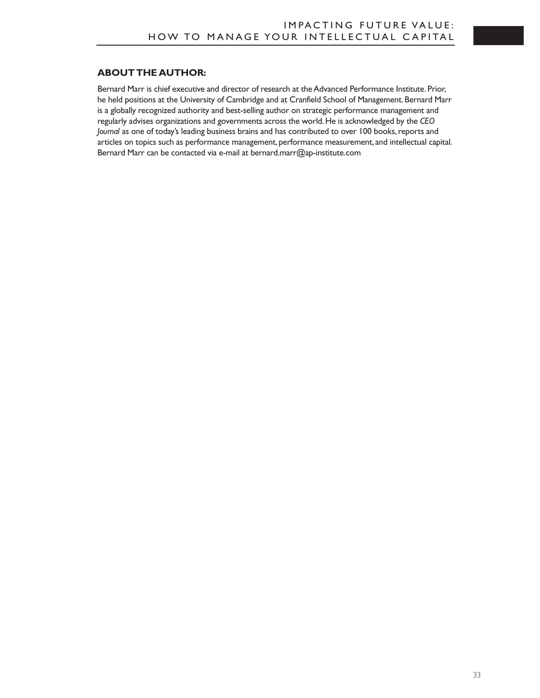## **ABOUT THE AUTHOR:**

Bernard Marr is chief executive and director of research at the Advanced Performance Institute. Prior, he held positions at the University of Cambridge and at Cranfield School of Management. Bernard Marr is a globally recognized authority and best-selling author on strategic performance management and regularly advises organizations and governments across the world. He is acknowledged by the *CEO Journal* as one of today's leading business brains and has contributed to over 100 books, reports and articles on topics such as performance management, performance measurement, and intellectual capital. Bernard Marr can be contacted via e-mail at bernard.marr@ap-institute.com